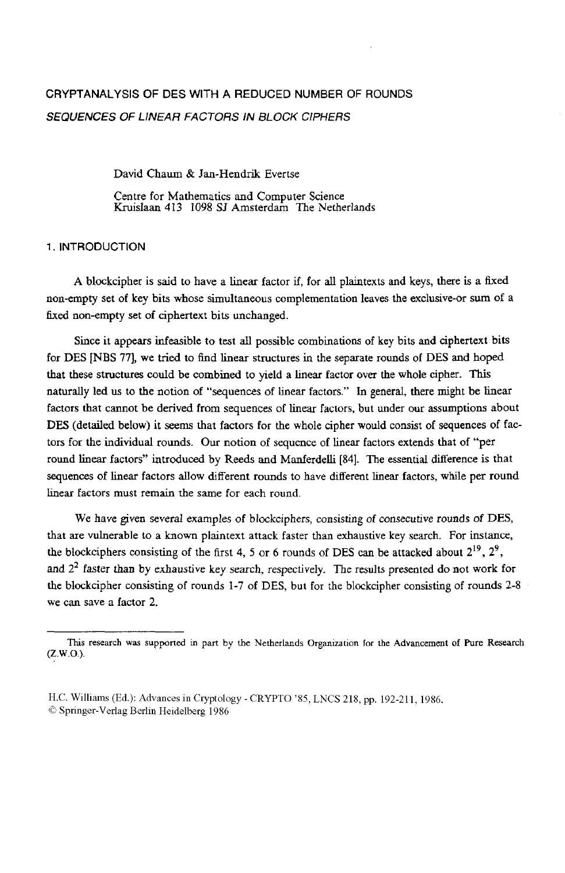# **CRYPTANALYSIS OF DES** WITH **A REDUCED** NUMBER OF ROUNDS *SEQUENCES OF LINEAR FACTORS IN BLOCK CIPHERS*

David Chaum & Jan-Hendrik Evertse

Centre for Mathematics and Computer Science Kruislaan **413 1098 SJ** Amsterdam The Netherlands

1. INTRODUCTION

**A** blockcipher **is** said to have a linear factor if, for all plaintexts **and** keys, there is a **fixed**  non-empty set of key bits whose simultaneous complementation leaves the exclusive-or **sum** of **a**  fixed non-empty set **of** ciphertext bits unchanged.

Since it appears infeasible to test all possible combinations of **key** bits **and** ciphertext bits for **DES [NBS 771,** we **tried** to find linear structures in the separate rounds of **DES and** hoped that these structures could be combined to yield a linear factor over the whole cipher. This naturally led **us** to the notion of **"sequences** of linear factors." In general, there might **be** linear factors that cannot be derived from sequences **of** linear factors, but under our assumptions about DES (detailed below) **it seems** that **factors for** the whole cipher would consist of sequences of fattors for the individual rounds. Our notion of sequence of linear factors extends that of "per round linear factors" introduced by Reeds and ManferdeUi **[84].** The **essential** difference is that sequences of linear factors allow different rounds to have different linear factors, while per round Linear Factors must remain the same **for** each round.

We have given several examples of blockciphers, consisting of consecutive rounds of **DES,**  that are vulnerable to a known plaintext attack faster than exhaustive key search. For *instance,*  the blockciphers consisting of the first 4, 5 or 6 rounds of DES can be attacked about  $2^{19}$ ,  $2^9$ , **and 22** *faster* **than** by exhaustive key search, respectively. The **results** presented do not work for the blockcipher consisting of rounds **1-7** of DES, but for the blockcipher consisting of rounds **2-8**  we *can* save a factor **2.** 

**This research was supported** in **part by the** Netherlands Organization for **the Advancement of** Pure **Research (Z.W.O.).** 

H.C. Williams (Ed.): Advances in Cryptology - CRYPT0 *'85,* LNCS 218, pp. 192-211, 1986. *8* Springer-Verlag Berlin Heidelberg 1986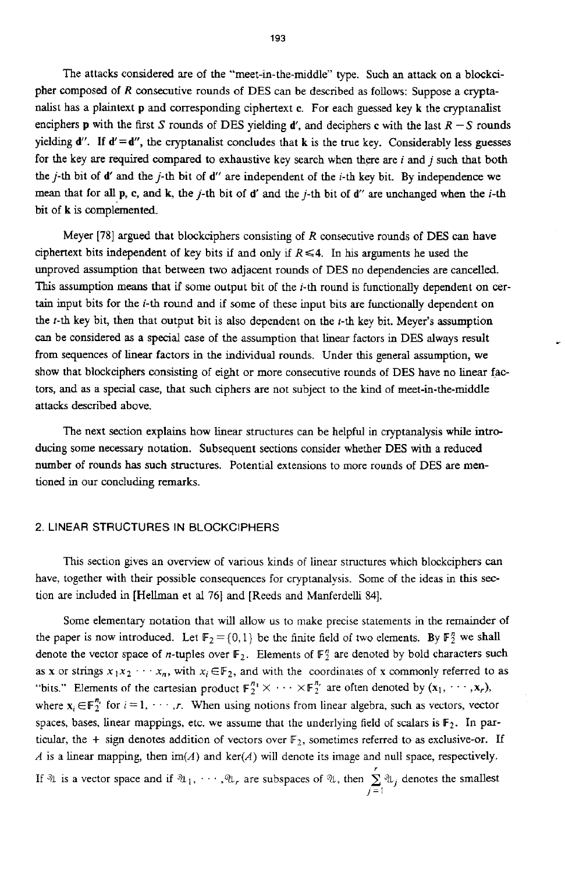The attacks considered are of the "meet-in-the-middle" type. Such **an** attack on a blockcipher composed of *R* consecutive rounds of **DES** can be described as follows: Suppose a cryptanalist has a plaintext **p** and corresponding ciphertext **c.** For each *guessed* key **k** the cryptanalist enciphers **p** with the first *S* rounds of DES yielding *d'*, and deciphers **c** with the last  $R - S$  rounds yielding **d". If d'=d",** the cryptmalist concludes that **k** is the true key. Considerably less *guesses*  for the key are required compared to exhaustive key search when there are *i* and j such that both the j-th bit of **d'** and thej-th bit of **d"** are independent of the i-th key bit. By independence we mean that for all  $\bf{p}$ ,  $\bf{c}$ , and  $\bf{k}$ , the j-th bit of d' and the j-th bit of d'' are unchanged when the i-th bit of **k** is complemented.

Meyer **[78] argued** that blockciphers consisting of R consecutive rounds of DES can have ciphertext bits independent of key bits if and only if  $R \le 4$ . In his arguments he used the unproved assumption that between two adjacent rounds of DES no dependencies are cancelled. **This** assumption means that if some output bit of the i-th round is functionally dependent on cer**tain** input bits for the **i-th** round and if some of these input bits are functionally dependent on the  $t$ -th key bit, then that output bit is also dependent on the  $t$ -th key bit. Meyer's assumption *can* be considered as a special case of the assumption that linear factors in DES always result from sequences of linear factors in the **individual** rounds. Under **this** general assumption, we show that blockciphers **consisting** of eight or more consecutive rounds of **DES** have no linear factors, and as a special case, that such ciphers are not subject to the kind of meet-in-the-middle attacks described above.

The next section explains how linear structures can be helpful in cryptanalysis while **intro**ducing some necessary notation. Subsequent sections consider whether DES with a reduced number of rounds has such structures. Potential extensions to more rounds of DES are **men**tioned in our concluding remarks.

## 2. LINEAR STRUCTURES IN BLOCKCIPHERS

This section gives an overview of various kinds of linear structures which blockciphers can have, together with their possible consequences for cryptanalysis. Some of the ideas in this section are included in [Hellman et al 761 and [Reeds and Manferdelli 841.

Some elementary notation that will allow us to make precise statements in the remainder **of**  the paper is now introduced. Let  $\mathbb{F}_2 = \{0,1\}$  be the finite field of two elements. By  $\mathbb{F}_2^n$  we shall denote the vector space of *n*-tuples over  $\mathbb{F}_2$ . Elements of  $\mathbb{F}_2^n$  are denoted by bold characters such as **x** or strings  $x_1x_2 \cdots x_n$ , with  $x_i \in \mathbb{F}_2$ , and with the coordinates of **x** commonly referred to as "bits." Elements of the cartesian product  $\mathbb{F}_2^{n_1} \times \cdots \times \mathbb{F}_2^{n_r}$  are often denoted by  $(x_1, \dots, x_r)$ , where  $\mathbf{x}_i \in \mathbb{F}_2^{n_i}$  for  $i = 1, \dots, r$ . When using notions from linear algebra, such as vectors, vector spaces, bases, linear mappings, etc. we assume that the underlying field of scalars is F2. In particular, the + sign denotes addition of vectors over  $\mathbb{F}_2$ , sometimes referred to as exclusive-or. If *A* is a linear mapping, then **im(A)** and ker(A) will denote its image and null space, respectively. If  $\mathcal{A}$  is a vector space and if  $\mathcal{A}_1, \cdots, \mathcal{A}_r$  are subspaces of  $\mathcal{A}$ , then  $\sum_{j=1}^r \mathcal{A}_{1j}$  denotes the smallest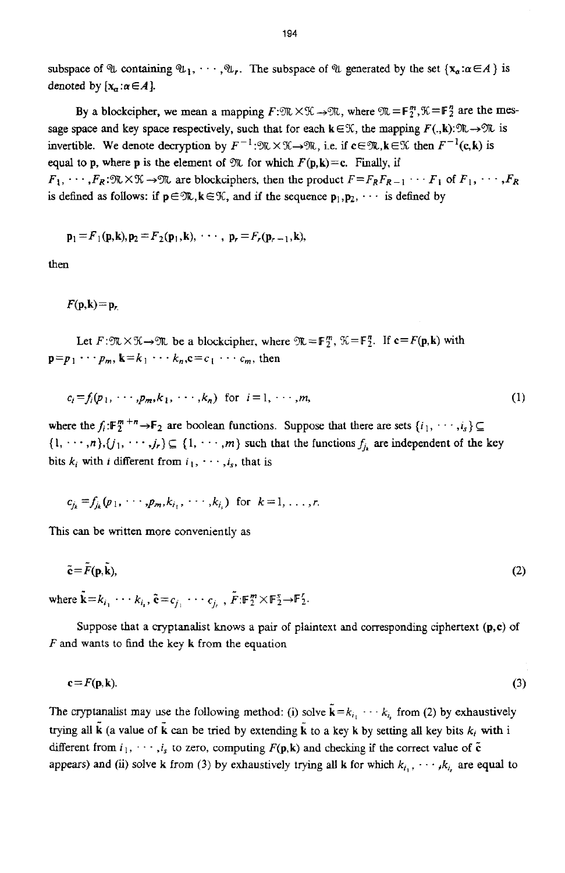subspace of  $\mathcal{U}$  containing  $\mathcal{U}_1, \dots, \mathcal{U}_r$ . The subspace of  $\mathcal{U}$  generated by the set  $\{x_a : a \in A\}$  is denoted by  $[x_{\alpha} : \alpha \in A]$ .

By a blockcipher, we mean a mapping  $F:\mathfrak{M}\times\mathfrak{K}\to\mathfrak{M}$ , where  $\mathfrak{M}=F_2^m,\mathfrak{K}=F_2^n$  are the message space and key space respectively, such that for each  $k \in \mathcal{K}$ , the mapping  $F(.,k):\mathcal{K} \to \mathcal{K}$  is invertible. We denote decryption by  $F^{-1}:\mathfrak{M}\times\mathfrak{K}\to\mathfrak{M}$ , i.e. if  $c\in\mathfrak{M}, k\in\mathfrak{K}$  then  $F^{-1}(c,k)$  is **equal to <b>p**, where **p** is the element of  $\mathfrak{N}$  for which  $F(\mathbf{p}, \mathbf{k}) = c$ . Finally, if  $F_1, \dots, F_R: \mathbb{R} \times \mathbb{K} \to \mathbb{R}$  are blockciphers, then the product  $F = F_R F_{R-1} \dots F_1$  of  $F_1, \dots, F_R$ is defined as follows: if  $p \in \mathcal{R}$ ,  $k \in \mathcal{K}$ , and if the sequence  $p_1, p_2, \cdots$  is defined by

$$
\mathbf{p}_1 = F_1(\mathbf{p}, \mathbf{k}), \mathbf{p}_2 = F_2(\mathbf{p}_1, \mathbf{k}), \cdots, \mathbf{p}_r = F_r(\mathbf{p}_{r-1}, \mathbf{k}),
$$

then

 $F(\mathbf{p},\mathbf{k})=\mathbf{p}$ ,

Let  $F:\mathfrak{M}\times\mathfrak{X}\rightarrow\mathfrak{M}$  be a blockcipher, where  $\mathfrak{M}=\mathbb{F}^m$ ,  $\mathfrak{X}=\mathbb{F}^n$ . If  $c=F(p,k)$  with  $\mathbf{p} = p_1 \cdots p_m$ ,  $\mathbf{k} = k_1 \cdots k_n$ ,  $\mathbf{c} = c_1 \cdots c_m$ , then

$$
c_i = f_i(p_1, \cdots, p_m, k_1, \cdots, k_n) \text{ for } i = 1, \cdots, m,
$$
 (1)

where the  $f_i: \mathbb{F}_2^m + \rightarrow \mathbb{F}_2$  are boolean functions. Suppose that there are sets  $\{i_1, \dots, i_s\} \subseteq$  $\{1, \dots, n\}, \{j_1, \dots, j_r\} \subseteq \{1, \dots, m\}$  such that the functions  $f_{i_k}$  are independent of the key bits  $k_i$  with *i* different from  $i_1, \dots, i_s$ , that is

$$
c_{i_k} = f_{i_k}(p_1, \cdots, p_m, k_{i_1}, \cdots, k_{i_k})
$$
 for  $k = 1, ..., r$ .

This can be written more conveniently as

$$
\tilde{\mathbf{c}} = \tilde{F}(\mathbf{p}, \tilde{\mathbf{k}}),\tag{2}
$$

where  $\mathbf{k} = k_{i_1} \cdots k_{i_r}$ ,  $\mathbf{\tilde{c}} = c_{i_1} \cdots c_{i_r}$ ,  $\mathbf{\tilde{F}} : \mathbf{F}_2^m \times \mathbf{F}_2^s \rightarrow \mathbf{F}_2^r$ .

Suppose that a **cryptanalist** knows **a pair** of plaintext and corresponding ciphertext **(p,c)** of *F* and wants to find the key **k** from the equation

$$
\mathbf{c} = F(\mathbf{p}, \mathbf{k}).\tag{3}
$$

The cryptanalist may use the following method: (i) solve  $\tilde{k} = k_{i_1} \cdots k_{i_r}$  from (2) by exhaustively trying **all**  (a value of **k** *can* be tried by extending **k** to a key **k** by setting all key bits *k,* with i different from  $i_1, \dots, i_s$  to zero, computing  $F(\mathbf{p}, \mathbf{k})$  and checking if the correct value of  $\tilde{\mathbf{c}}$ appears) and (ii) solve **k** from (3) by exhaustively trying all **k** for which  $k_{i_1}, \dots, k_{i_r}$  are equal to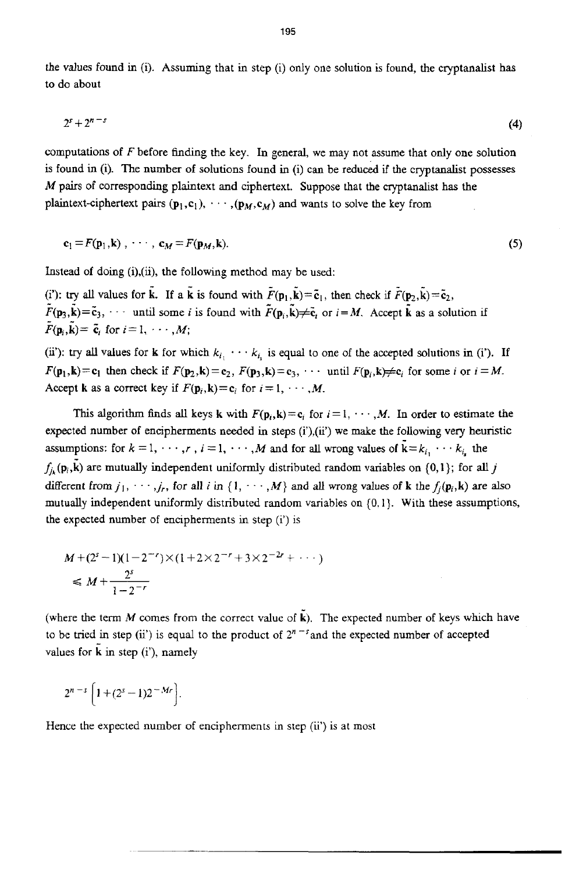the values found in (i). Assuming that in step (i) only one solution **is** found, the cryptanalist **has**  to do about

$$
2^s + 2^{n-s} \tag{4}
$$

computations **of** F before finding the **key. In** general, we may not assume that **only** one solution is found in (i). The number of solutions found in **(i)** can be reduced if the cryptanalist possesses *M* pairs of corresponding plaintext and ciphertext. Suppose that the cryptanalist has the plaintext-ciphertext pairs  $(\mathbf{p}_1, \mathbf{c}_1), \cdots, (\mathbf{p}_M, \mathbf{c}_M)$  and wants to solve the key from

$$
\mathbf{c}_1 = F(\mathbf{p}_1, \mathbf{k}), \cdots, \mathbf{c}_M = F(\mathbf{p}_M, \mathbf{k}). \tag{5}
$$

Instead **of** doing (i),(ii), the following method may be used:

(i'): **try all values for**  $\tilde{k}$ **. If a**  $\tilde{k}$  **is found with**  $\tilde{F}(\mathbf{p}_1, \tilde{k}) = \tilde{\mathbf{c}}_1$ **, then check if**  $\tilde{F}(\mathbf{p}_2, \tilde{k}) = \tilde{\mathbf{c}}_2$ **,**  $\tilde{F}(\mathbf{p}_3, \tilde{\mathbf{k}}) = \tilde{\mathbf{c}}_3$ ,  $\cdots$  until some *i* is found with  $\tilde{F}(\mathbf{p}_i, \tilde{\mathbf{k}}) \neq \tilde{\mathbf{c}}_i$  or  $i = M$ . Accept  $\tilde{\mathbf{k}}$  as a solution if  $\tilde{F}(\mathbf{p}_i, \tilde{\mathbf{k}}) = \tilde{\mathbf{c}}_i$  for  $i = 1, \dots, M$ ;

(ii): **try all values for <b>k** for which  $k_{i_1} \cdots k_{i_r}$  is equal to one of the accepted solutions in (i'). If  $F(\mathbf{p}_1, \mathbf{k}) = \mathbf{c}_1$  then check if  $F(\mathbf{p}_2, \mathbf{k}) = \mathbf{c}_2$ ,  $F(\mathbf{p}_3, \mathbf{k}) = \mathbf{c}_3$ ,  $\cdots$  until  $F(\mathbf{p}_i, \mathbf{k}) \neq \mathbf{c}_i$  for some *i* or  $i = M$ . Accept **k** as a correct key if  $F(\mathbf{p}_i, \mathbf{k}) = \mathbf{c}_i$  for  $i = 1, \dots, M$ .

This algorithm finds all keys **k** with  $F(\mathbf{p}_i, \mathbf{k}) = c_i$  for  $i = 1, \dots, M$ . In order to estimate the expected number of encipherments **needed** in steps *(i'),(ii')* we *make* the following very **heuristic**  assumptions: for  $k = 1, \dots, r$ ,  $i = 1, \dots, M$  and for all wrong values of  $\tilde{k} = k_{i_1} \dots k_{i_r}$  the  $f_{j_k}(\mathbf{p}_i, \vec{k})$  are mutually independent uniformly distributed random variables on {0,1}; for all *j* different from  $j_1, \dots, j_r$ , for all *i* in  $\{1, \dots, M\}$  and all wrong values of **k** the  $f_i(\mathbf{p}_i, \mathbf{k})$  are also mutually independent uniformly distributed random variables on (0. I}. With these assumptions, the expected number of encipherments in step (i') is

$$
M + (2s - 1)(1 - 2-r) \times (1 + 2 \times 2-r + 3 \times 2-2r + \cdots)
$$
  
\$\leq M + \frac{2<sup>s</sup>}{1 - 2<sup>-r</sup>}

(where the term *M* comes from the correct **value** of **k).** The expected number of keys which have to be tried in step (ii') is equal to the product of  $2^{n-s}$  and the expected number of accepted values **for k** in step *(i'),* namely

 $2^{n-s}\left[1+(2^s-1)2^{-Mr}\right].$ 

Hence the expected number of encipherments in step (ii') is at most

195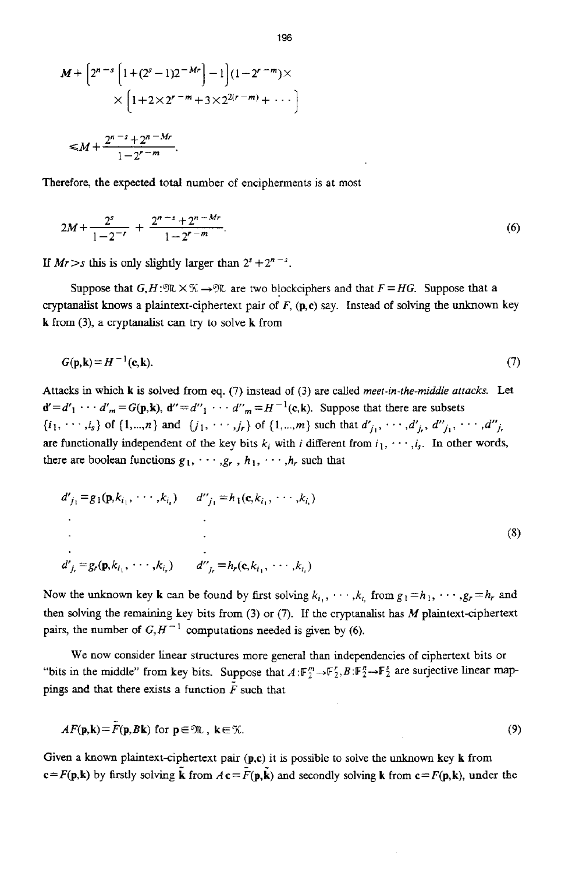$$
M + \left[2^{n-s} \left[1 + (2^s - 1)2^{-Mr}\right] - 1\right] (1 - 2^{r-m}) \times \\ \times \left[1 + 2 \times 2^{r-m} + 3 \times 2^{2(r-m)} + \cdots\right] \\ \leq M + \frac{2^{n-s} + 2^{n-Mr}}{1 - 2^{r-m}}.
$$

Therefore, the expected total number of encipherments **is** at most

$$
2M + \frac{2^{s}}{1 - 2^{-r}} + \frac{2^{n-s} + 2^{n-Mr}}{1 - 2^{r-m}}.
$$
\n(6)

If  $Mr > s$  this is only slightly larger than  $2^{s} + 2^{n-s}$ .

Suppose that  $G, H: \mathfrak{M} \times \mathfrak{K} \to \mathfrak{M}$  are two blockciphers and that  $F = HG$ . Suppose that a cryptanalist knows a plaintext-ciphertext pair of *F,* **(p,c)** say. Instead of solving the unknown **key k** from (3), a cryptanalist can try to solve **k** from

$$
G(\mathbf{p}, \mathbf{k}) = H^{-1}(\mathbf{c}, \mathbf{k}).
$$
\n<sup>(7)</sup>

Attacks in which **k** is solved from eq. (7) instead of (3) are called *meet-in-the-middle attacks*. Let  $d' = d'_1$   $\cdots$   $d'_m = G(p,k)$ ,  $d'' = d''_1 \cdots d''_m = H^{-1}(c,k)$ . Suppose that there are subsets  $\{i_1, \dots, i_s\}$  of  $\{1, \dots, n\}$  and  $\{j_1, \dots, j_r\}$  of  $\{1, \dots, m\}$  such that  $d'_{j_1}, \dots, d'_{j_r}, d''_{j_1}, \dots, d''_{j_r}$ are functionally independent of the key bits  $k_i$  with *i* different from  $i_1, \dots, i_s$ . In other words, there are boolean functions  $g_1, \dots, g_r$ ,  $h_1, \dots, h_r$  such that

$$
d'_{j_1} = g_1(\mathbf{p}, k_{i_1}, \cdots, k_{i_s}) \qquad d''_{j_1} = h_1(\mathbf{c}, k_{i_1}, \cdots, k_{i_s})
$$
  
\n
$$
\vdots
$$
  
\n
$$
d'_{j_r} = g_r(\mathbf{p}, k_{i_1}, \cdots, k_{i_s}) \qquad d''_{j_r} = h_r(\mathbf{c}, k_{i_1}, \cdots, k_{i_s})
$$
  
\n(8)

Now the unknown key **k** can be found by first solving  $k_{i_1}, \dots, k_{i_r}$  from  $g_1 = h_1, \dots, g_r = h_r$  and then solving the remaining key bits from (3) or **(7).** If the cryptanalist **has** *M* plaintext-ciphertext pairs, the number of  $G, H^{-1}$  computations needed is given by (6).

We now consider linear structures more general than independencies of ciphertext bits or "bits in the middle" from key bits. Suppose that  $A: \mathbb{F}_2^m \to \mathbb{F}_2^r, B: \mathbb{F}_2^r \to \mathbb{F}_2^s$  are surjective linear mappings and that there exists a function  $\overline{F}$  such that

$$
AF(\mathbf{p}, \mathbf{k}) = \bar{F}(\mathbf{p}, B\mathbf{k}) \text{ for } \mathbf{p} \in \mathfrak{M}, \ \mathbf{k} \in \mathfrak{K}.
$$

Given a known plaintext-ciphertext pair  $(p,c)$  it is possible to solve the unknown key  $k$  from  $c = F(p,k)$  by firstly solving **k** from  $A c = F(p,k)$  and secondly solving **k** from  $c = F(p,k)$ , under the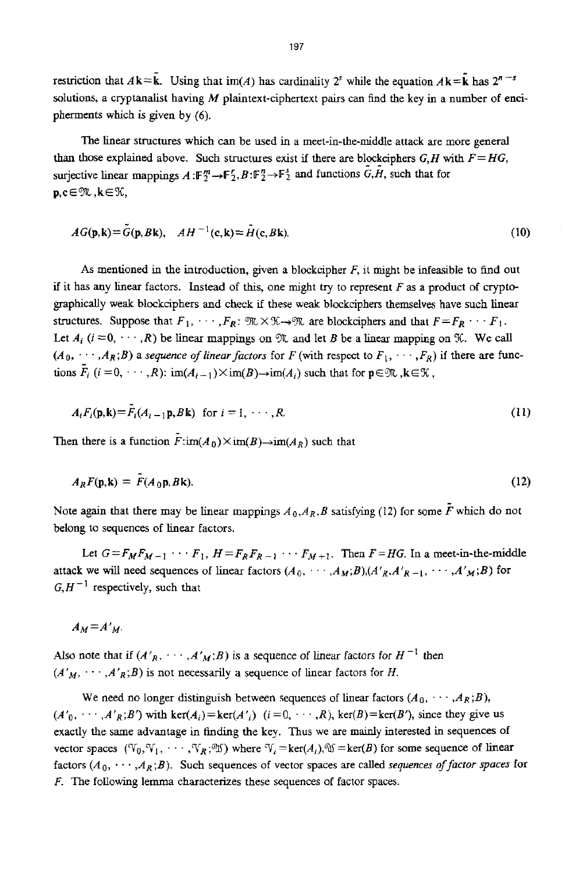restriction that  $A\mathbf{k}=\tilde{\mathbf{k}}$ . Using that  $\text{im}(A)$  has cardinality  $2^s$  while the equation  $A\mathbf{k}=\tilde{\mathbf{k}}$  has  $2^{n-s}$ solutions, a cryptanalist having  $M$  plaintext-ciphertext pairs can find the key in a number of encipherments which is given by (6).

The linear structures which *can* be used in a meet-in-the-middle attack are more general than those explained above. Such structures exist if there are blockciphers  $G, H$  with  $F = HG$ , surjective linear mappings  $A : F_2^m \to F_2^r, B : F_2^n \to F_2^s$  and functions  $G, H$ , such that for **p,c∈**\,k∈\,

$$
AG(\mathbf{p}, \mathbf{k}) = \tilde{G}(\mathbf{p}, B\mathbf{k}), \quad AH^{-1}(\mathbf{c}, \mathbf{k}) = \tilde{H}(\mathbf{c}, B\mathbf{k}).
$$
\n(10)

**As** mentioned in the introduction, **given** a blockcipher *F,* it might be infeasible to find out if it has any linear factors. Instead of this, one might **try** to represent *F* as a product of cryptographically weak blockciphers **and** check if these weak blockciphers themselves have such linear structures. Suppose that  $F_1, \dots, F_R$ :  $\mathfrak{M} \times \mathfrak{K} \rightarrow \mathfrak{M}$  are blockciphers and that  $F = F_R \cdots F_1$ . Let  $A_i$  ( $i = 0, \dots, R$ ) be linear mappings on  $\mathfrak{R}$  and let *B* be a linear mapping on  $\mathfrak{K}$ . We call  $(A_0, \cdots, A_R; B)$  a *sequence of linear factors* for *F* (with respect to  $F_1, \cdots, F_R$ ) if there are functions  $\tilde{F}_i$   $(i = 0, \dots, R)$ :  $\text{im}(A_{i-1}) \times \text{im}(B) \rightarrow \text{im}(A_i)$  such that for  $p \in \mathcal{R}$ ,  $k \in \mathcal{K}$ ,

$$
A_i F_i(\mathbf{p}, \mathbf{k}) = \tilde{F}_i(A_{i-1} \mathbf{p}, B \mathbf{k}) \text{ for } i = 1, \cdots, R.
$$
 (11)

Then there is a function  $\tilde{F}$ :im(A<sub>0</sub>)  $\times$ im(B) $\rightarrow$ im(A<sub>R</sub>) such that

$$
A_R F(\mathbf{p}, \mathbf{k}) = F(A_0 \mathbf{p}, B \mathbf{k}). \tag{12}
$$

Note again that there may be linear mappings  $A_0$ ,  $A_R$ ,  $B$  satisfying (12) for some  $F$  which do not belong to sequences of linear factors.

Let  $G = F_M F_{M-1}$   $\cdots F_1$ ,  $H = F_R F_{R-1}$   $\cdots F_{M+1}$ . Then  $F = HG$ . In a meet-in-the-middle attack we will need sequences of linear factors  $(A_0, \dots, A_M; B)$ ,  $(A'_{R}, A'_{R-1}, \dots, A'_{M}; B)$  for  $G, H^{-1}$  respectively, such that

 $A_M = A'_M$ .

Also note that if  $(A'_R, \dots, A'_M; B)$  is a sequence of linear factors for  $H^{-1}$  then  $(A'_M, \cdots, A'_R; B)$  is not necessarily a sequence of linear factors for *H*.

We need no longer distinguish between sequences of linear factors  $(A_0, \dots, A_R; B)$ ,  $(A'_0, \cdots, A'_R; B')$  with ker $(A_i)$  = ker $(A'_i)$   $(i = 0, \cdots, R)$ , ker $(B)$  = ker $(B')$ , since they give us exactly the same advantage in finding the key. Thus we are mainly interested in sequences of vector spaces ( $\mathfrak{V}_0, \mathfrak{V}_1, \cdots, \mathfrak{V}_R$ ;  $\mathfrak{W}$ ) where  $\mathfrak{V}_i = \ker(A_i), \mathfrak{V} = \ker(B)$  for some sequence of linear factors  $(A_0, \dots, A_R; B)$ . Such sequences of vector spaces are called *sequences of factor spaces* for *F.* The following lemma characterizes these sequences of factor spaces.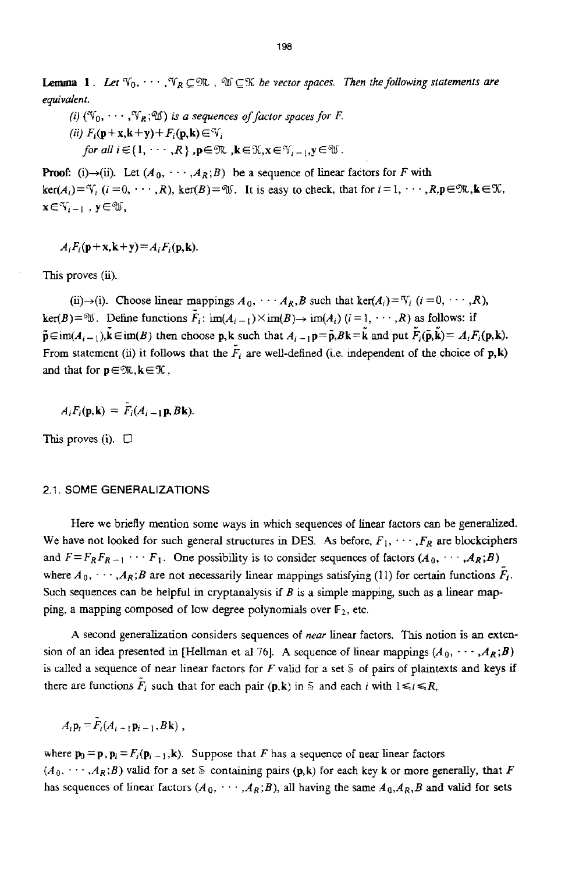**Lemma 1.** Let  $\mathbb{V}_0, \cdots, \mathbb{V}_R \subseteq \mathbb{R}$  ,  $\mathbb{U} \subseteq \mathbb{K}$  be vector spaces. Then the following statements are *equivalent.* 

*(i)*  $(\mathbb{V}_0, \cdots, \mathbb{V}_R; \mathbb{W})$  *is a sequences of factor spaces for F. (ii)*  $F_i(\mathbf{p}+\mathbf{x},\mathbf{k}+\mathbf{y})+F_i(\mathbf{p},\mathbf{k})\in V_i$ *for all i*  $\in$ {1,  $\cdots$ , *R*},  $p \in \mathfrak{M}$ ,  $k \in \mathfrak{X}, x \in \mathfrak{Y}_{i-1}, y \in \mathfrak{W}$ .

**Proof:** (i) $\rightarrow$ (ii). Let  $(A_0, \cdots, A_R; B)$  be a sequence of linear factors for *F* with  $ker(A_i) = V_i$ ,  $(i = 0, \dots, R)$ ,  $ker(B) = W_i$ . It is easy to check, that for  $i = 1, \dots, R_p \in W_k$ ,  $k \in \mathcal{X}$ ,  $\mathbf{x} \in \mathcal{Y}_{i-1}$ ,  $\mathbf{y} \in \mathcal{Y}$ ,

 $A_i F_i(p+x, k+y) = A_i F_i(p, k).$ 

This proves (ii).

(ii) $\rightarrow$ (i). Choose linear mappings  $A_0$ ,  $\cdots$   $A_R$ , B such that  $\text{ker}(A_i) = V_i$   $(i = 0, \dots, R)$ , **ker(B)**=\\  $\mathbb{E}$ . Define functions  $\tilde{F}_i$ :  $\text{im}(A_{i-1})\times \text{im}(B) \rightarrow \text{im}(A_i)$   $(i = 1, \dots, R)$  as follows: if  $\tilde{\mathbf{p}} \in \text{im}(A_{i-1}), \tilde{\mathbf{k}} \in \text{im}(B)$  then choose **p**, **k** such that  $A_{i-1}\mathbf{p} = \tilde{\mathbf{p}}, B\mathbf{k} = \tilde{\mathbf{k}}$  and put  $\tilde{F}_i(\tilde{\mathbf{p}}, \tilde{\mathbf{k}}) = A_i F_i(\mathbf{p}, \mathbf{k}).$ From statement (ii) it follows that the  $F_i$  are well-defined (i.e. independent of the choice of **p**, k) and that for  $p \in \mathfrak{M}, k \in \mathcal{K}$ ,

$$
A_i F_i(\mathbf{p}, \mathbf{k}) = \overline{F_i}(A_{i-1} \mathbf{p}, B \mathbf{k})
$$

This proves **(i).** D

## 2.1. SOME **GENERALIZATIONS**

Here we briefly mention some ways in which sequences of linear factors can be generalized. We have not looked for such general structures in DES. As before,  $F_1, \dots, F_R$  are blockciphers and  $F = F_R F_{R-1} \cdots F_1$ . One possibility is to consider sequences of factors  $(A_0, \dots, A_R; B)$ and  $r = r_R r_{R-1} \cdots r_1$ . One possibility is to consider sequences of factors  $(A_0, \dots, A_R; B)$ <br>where  $A_0, \dots, A_R; B$  are not necessarily linear mappings satisfying (11) for certain functions  $F_i$ . Such sequences can be helpful in cryptanalysis if *B* **is** a simple mapping, such **as a** linear **map**ping, a mapping composed of low degree polynomials over  $F_2$ , etc.

**A** second generalization considers sequences of *near* linear factors. **This** notion **is** an **exten**sion of an idea presented in [Hellman et al 76]. A sequence of linear mappings  $(A_0, \dots, A_R; B)$ is called a sequence of near linear factors for *F* valid for a set *S* of pairs of plaintexts and keys if there are functions  $\tilde{F}_i$  such that for each pair  $(\mathbf{p}, \mathbf{k})$  in *S* and each *i* with  $1 \le i \le R$ ,

 $A_i \mathbf{p}_i = \tilde{F}_i (A_{i-1} \mathbf{p}_{i-1}, B \mathbf{k})$ ,

where  $\mathbf{p}_0 = \mathbf{p}$ ,  $\mathbf{p}_i = F_i(\mathbf{p}_{i-1}, \mathbf{k})$ . Suppose that *F* has a sequence of near linear factors  $(A_0, \dots, A_R; B)$  valid for a set S containing pairs  $(p, k)$  for each key **k** or more generally, that *F* has sequences of linear factors  $(A_0, \dots, A_R;B)$ , all having the same  $A_0, A_R, B$  and valid for sets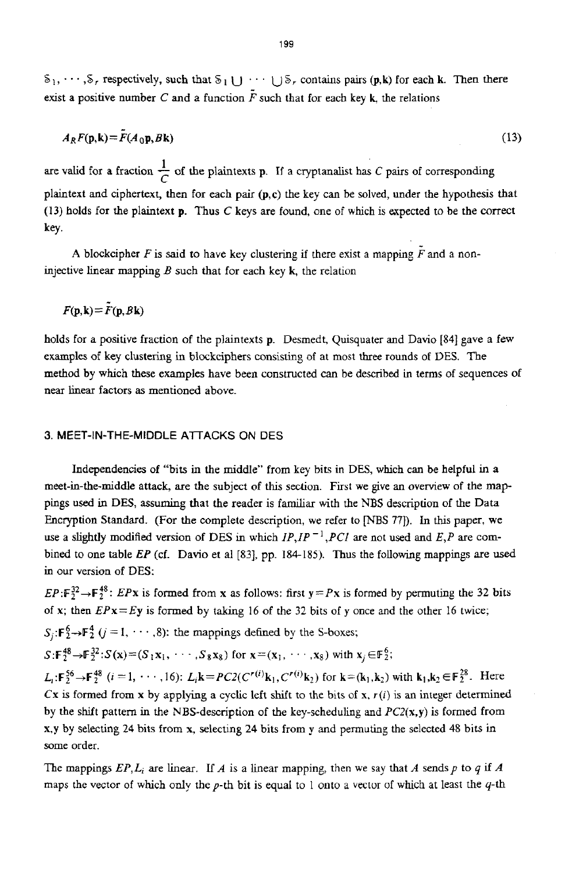$S_1, \dots, S_r$  respectively, such that  $S_1 \cup \dots \cup S_r$  contains pairs  $(p, k)$  for each k. Then there exist a positive number C and a function  $\tilde{F}$  such that for each key **k**, the relations

$$
A_R F(\mathbf{p}, \mathbf{k}) = \bar{F}(A_0 \mathbf{p}, B \mathbf{k}) \tag{13}
$$

**1**  are valid for a fraction  $\frac{1}{C}$  of the plaintexts **p**. If a cryptanalist has *C* pairs of corresponding plaintext and ciphertext, then for each pair **@,c)** the key can be solved, under the hypothesis that **(13) holds** for the plaintext **p.** Thus C keys are found, one of which *is* expected to be the correct key.

A blockcipher *F* is said to have key clustering if there exist a mapping  $\tilde{F}$  and a noninjective linear mapping  $B$  such that for each key  $k$ , the relation

$$
F(\mathbf{p}, \mathbf{k}) = \tilde{F}(\mathbf{p}, B\mathbf{k})
$$

holds for a positive fraction of the plaintexts **p.** Desmedt, Quisquater and Davio [84] gave a few examples of **key** clustering **in** blockciphers consisting of at most three rounds of DES. The method **by** which these examples have been constructed *can* be described in terms of sequences of **near linear** factors **as** mentioned above.

# **3.** MEET-IN-THE-MIDDLE **AlTACKS** ON **DES**

Independencies of "bits in the middle'' from key bits in DES, which can be helpful in a meet-in-the-middle attack, are the subject of this section. First we **give** an overview of the **map**pings used in DES, assuming that the reader is familiar with the NBS description of the Data Encryption Standard. (For the complete description, we refer to **[NBS 771).** In this paper, we use a slightly modified version of DES in which  $IP, IP^{-1}, PCI$  are not used and  $E, P$  are combined to one table *EP* (cf. Davio et al [83], pp. 184-185). Thus the following mappings are used **in** our version of DES:

 $EP: \mathbb{F}_2^{32} \to \mathbb{F}_2^{48}$ : *EPx* is formed from *x* as follows: first  $y = Px$  is formed by permuting the 32 bits of **x;** then **EPx=Ey** is formed by **taking** 16 of the **32** bits of **y** once and the other 16 twice;

 $S_j: \mathbf{F}_2^6 \to \mathbf{F}_2^4$  ( $j = 1, \dots, 8$ ): the mappings defined by the S-boxes;

$$
S: \mathbb{F}_2^{48} \to \mathbb{F}_2^{32} : S(\mathbf{x}) = (S_1 \mathbf{x}_1, \cdots, S_8 \mathbf{x}_8) \text{ for } \mathbf{x} = (\mathbf{x}_1, \cdots, \mathbf{x}_8) \text{ with } \mathbf{x}_i \in \mathbb{F}_2^6;
$$

 $L_i: \mathbf{F}_2^{56} \to \mathbf{F}_2^{48}$  (*i* = 1, ..., 16):  $L_i\mathbf{k} = PC2(C^{r(i)}\mathbf{k}_1, C^{r(i)}\mathbf{k}_2)$  for  $\mathbf{k} = (\mathbf{k}_1, \mathbf{k}_2)$  with  $\mathbf{k}_1, \mathbf{k}_2 \in \mathbb{F}_2^{28}$ . Here Cx is formed from  $x$  by applying a cyclic left shift to the bits of  $x$ ,  $r(i)$  is an integer determined by the shift pattern in the NBS-description of the key-scheduling and *PCZ(x,y)* is formed from **x,y** by selecting **24 bits** from **x,** selecting **24** bits from **y** and permuting the selected 48 bits *in*  some order.

The mappings  $EP, L_i$  are linear. If *A* is a linear mapping, then we say that *A* sends *p* to *q* if *A* maps the vector of which only the p-th bit is equal to 1 onto a vector of which at least the q-th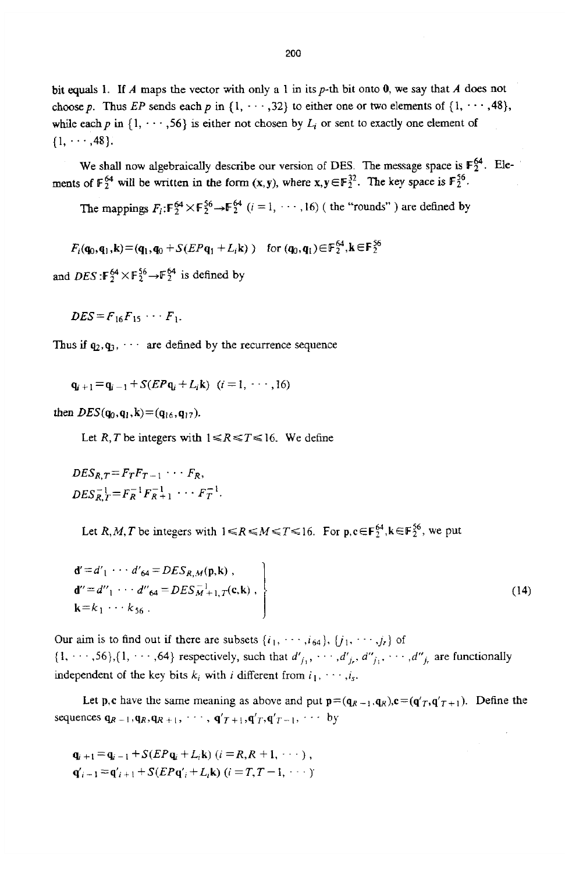**bit equals** 1. If *A* maps **the** vector with only a 1 in itsp-th bit onto **0, we** say that *A* does not choose p. Thus *EP* sends each p in  $\{1, \dots, 32\}$  to either one or two elements of  $\{1, \dots, 48\}$ , while each p in  $\{1, \dots, 56\}$  is either not chosen by  $L_i$  or sent to exactly one element of  $\{1, \cdots, 48\}.$ 

We shall now algebraically describe our version of DES. The message space is  $F_2^{64}$ . Elements of  $\mathbb{F}_2^{64}$  will be written in the form  $(x, y)$ , where  $x, y \in \mathbb{F}_2^{32}$ . The key space is  $\mathbb{F}_2^{56}$ .

The mappings  $F_i: \mathbb{F}_2^{64} \times \mathbb{F}_2^{56} \to \mathbb{F}_2^{64}$  ( $i = 1, \dots, 16$ ) (the "rounds") are defined by

 $F_i(q_0, q_1, k) = (q_1, q_0 + S(EPq_1 + L_i k))$  for  $(q_0, q_1) \in F_2^{64}$ ,  $k \in F_2^{56}$ 

and DES:  $F_2^{64} \times F_2^{56} \rightarrow F_2^{64}$  is defined by

 $DES = F_{16}F_{15} \cdots F_{16}$ 

Thus if  $q_2, q_3, \cdots$  are defined by the recurrence sequence

 $\mathbf{q}_{i+1} = \mathbf{q}_{i-1} + S(EP\mathbf{q}_i + L_i\mathbf{k})$   $(i = 1, \dots, 16)$ 

then  $DES(q_0, q_1, k) = (q_{16}, q_{17}).$ 

Let R, T be integers with  $1 \le R \le T \le 16$ . We define

 $DES_{R,T} = F_T F_{T-1} \cdots F_R,$  $DES_R^{-1} = F_R^{-1}F_{R+1}^{-1} \cdots F_T^{-1}$ .

Let R,M,T be integers with  $1 \le R \le M \le T \le 16$ . For  $p, c \in F_2^{64}$ ,  $k \in F_2^{56}$ , we put

$$
\mathbf{d}' = d'_{1} \cdots d'_{64} = DES_{R,M}(\mathbf{p}, \mathbf{k}) ,
$$
  
\n
$$
\mathbf{d}' = d''_{1} \cdots d''_{64} = DES_{M+1,T}^{-1}(\mathbf{c}, \mathbf{k}) ,
$$
  
\n
$$
\mathbf{k} = k_{1} \cdots k_{56} .
$$
\n(14)

Our aim is to find out if there are subsets  $\{i_1, \dots, i_{64}\}, \{j_1, \dots, j_r\}$  of  $\{1, \dots, 56\}, \{1, \dots, 64\}$  respectively, such that  $d'_{j_1}, \dots, d'_{j_r}, d''_{j_1}, \dots, d''_{j_r}$  are functionally independent of the key bits  $k_i$  with *i* different from  $i_1, \dots, i_s$ .

Let **p**,c have the same meaning as above and put  $p = (q_{R-1}, q_R)$ ,  $c = (q'_T, q'_T)_$ . Define the sequences  $\mathbf{q}_{R-1}, \mathbf{q}_R, \mathbf{q}_{R+1}, \cdots, \mathbf{q'}_{T+1}, \mathbf{q'}_T, \mathbf{q'}_{T-1}, \cdots$  by

$$
\mathbf{q}_{i+1} = \mathbf{q}_{i-1} + S(EP\mathbf{q}_{i} + L_{i}\mathbf{k}) \ (i = R, R + 1, \cdots),
$$
  
\n
$$
\mathbf{q}'_{i-1} = \mathbf{q}'_{i+1} + S(EP\mathbf{q}'_{i} + L_{i}\mathbf{k}) \ (i = T, T - 1, \cdots)
$$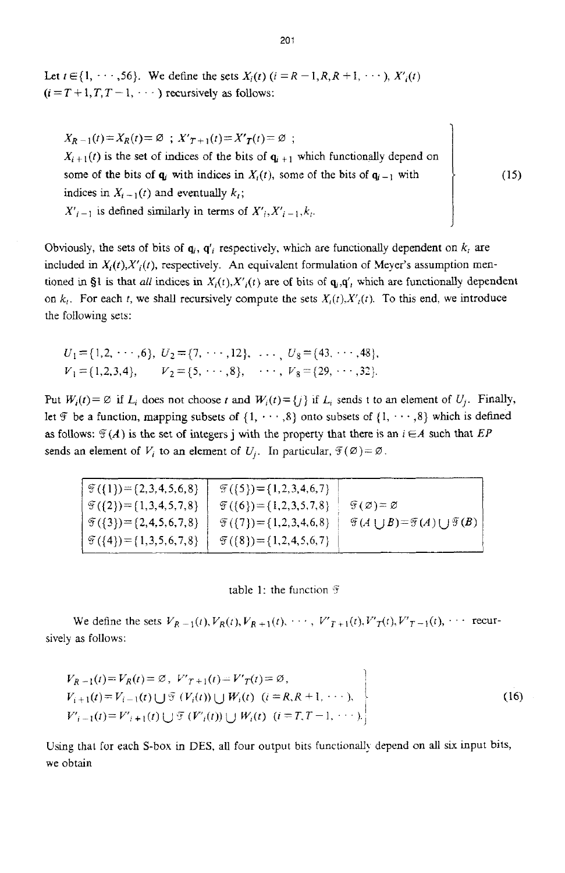Let  $t \in \{1, \dots, 56\}$ . We define the sets  $X_i(t)$   $(i = R - 1, R, R + 1, \dots)$ ,  $X'_i(t)$  $(i = T + 1, T, T - 1, \dots)$  recursively as follows:

 $X_{R-1}(t) = X_{R}(t) = \emptyset$ ;  $X'_{T+1}(t) = X'_{T}(t) = \emptyset$ ;  $X_{i+1}(t)$  is the set of indices of the bits of  $q_{i+1}$  which functionally depend on some of the bits of *q<sub>i</sub>* with indices in  $X_i(t)$ , some of the bits of  $q_{i-1}$  with indices in  $X_{i-1}(t)$  and eventually  $k_i$ ;  $X'_{i-1}$  is defined similarly in terms of  $X'_{i}, X'_{i-1}, k_{i}$ .

Obviously, the sets of bits of  $q_i$ ,  $q'_i$  respectively, which are functionally dependent on  $k_i$  are included in  $X_i(t)$ ,  $X'_i(t)$ , respectively. An equivalent formulation of Meyer's assumption mentioned in §1 is that *all* indices in  $X_i(t)$ ,  $X'_i(t)$  are of bits of  $\mathbf{q}_i$ ,  $\mathbf{q}'$ , which are functionally dependent on  $k_i$ . For each t, we shall recursively compute the sets  $X_i(t)$ ,  $X'_i(t)$ . To this end, we introduce the following sets:

$$
U_1 = \{1, 2, \cdots, 6\}, U_2 = \{7, \cdots, 12\}, \cdots, U_8 = \{43, \cdots, 48\},
$$
  

$$
V_1 = \{1, 2, 3, 4\}, V_2 = \{5, \cdots, 8\}, \cdots, V_8 = \{29, \cdots, 32\}.
$$

Put  $W_i(t) = \emptyset$  if  $L_i$  does not choose *t* and  $W_i(t) = \{j\}$  if  $L_i$  sends t to an element of  $U_i$ . Finally, let *F* be a function, mapping subsets of  $\{1, \dots, 8\}$  onto subsets of  $\{1, \dots, 8\}$  which is defined as follows:  $\mathcal{F}(A)$  is the set of integers j with the property that there is an  $i \in A$  such that *EP* sends an element of  $V_i$  to an element of  $U_i$ . In particular,  $\mathcal{F}(\emptyset) = \emptyset$ .

 $\mathfrak{F}(\{1\}) = \{2,3,4,5,6,8\}$  $\mathfrak{F}\left( \{2\} \right)=\{1,3,4,5,7,8\}$ *9({3})=(2,4,5,6,7,8}*   $\Im$  ({4})={1,3,5,6,7,8}  $\mathcal{F}({5})=$  {1,2,3,4,6,7}  $\mathfrak{F}(\{6\}) = \{1,2,3,5,7,8\}$  |  $\mathfrak{F}(\emptyset) = \emptyset$  $\mathfrak{F}(\{7\}) = \{1,2,3,4,6,8\}$  |  $\mathfrak{F}(A \cup B) = \mathfrak{F}(A) \cup \mathfrak{F}(B)$  |  $\mathfrak{F}(\{8\})=\{1,2,4,5,6,7\}$ 

table 1: the function  $\mathfrak F$ 

We define the sets  $V_{R-1}(t)$ ,  $V_R(t)$ ,  $V_{R+1}(t)$ ,  $\cdots$ ,  $V'_{T+1}(t)$ ,  $V'_{T}(t)$ ,  $V'_{T-1}(t)$ ,  $\cdots$  recursively as follows:

$$
V_{R-1}(t) = V_R(t) = \emptyset, V'_{T+1}(t) = V'_T(t) = \emptyset,
$$
  
\n
$$
V_{i+1}(t) = V_{i-1}(t) \cup \mathcal{F}(V_i(t)) \cup W_i(t) \quad (i = R, R+1, \cdots),
$$
  
\n
$$
V'_{i-1}(t) = V'_{i+1}(t) \cup \mathcal{F}(V'_i(t)) \cup W_i(t) \quad (i = T, T-1, \cdots).
$$
\n(16)

Using that for each S-box in DES, all four output bits functionally depend on all six input bits, we obtain

**7** 

 $(15)$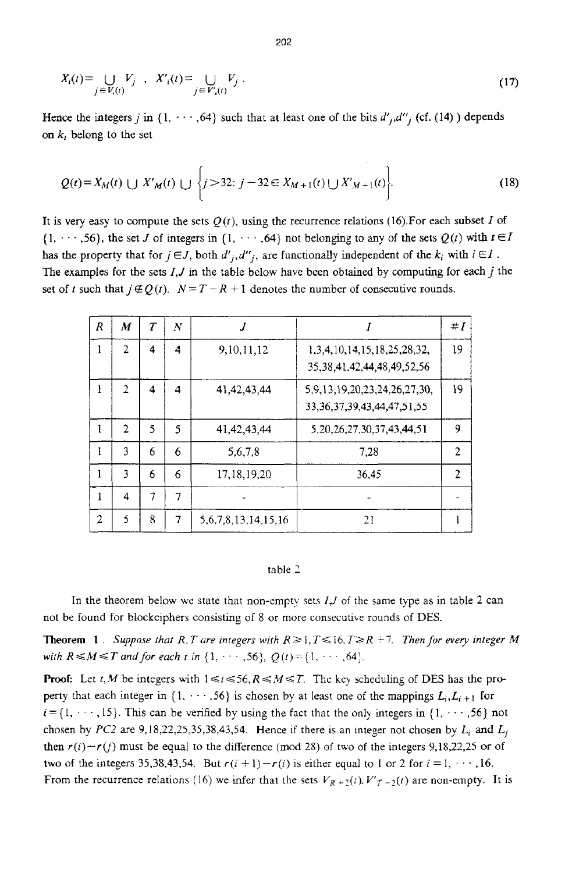$$
X_i(t) = \bigcup_{j \in V_i(t)} V_j, \quad X'_i(t) = \bigcup_{j \in V'_i(t)} V_j.
$$
 (17)

Hence the integers *j* in  $\{1, \dots, 64\}$  such that at least one of the bits  $d'_{j}, d''_{j}$  (cf. (14) ) depends on *k,* belong to the set

$$
Q(t) = X_M(t) \cup X'M(t) \cup \left\{ j > 32 : j - 32 \in X_{M+1}(t) \cup X'M+1}(t) \right\}.
$$
 (18)

It is very easy to compute the sets  $Q(t)$ , using the recurrence relations (16). For each subset *I* of  $\{1, \dots, 56\}$ , the set *J* of integers in  $\{1, \dots, 64\}$  not belonging to any of the sets  $Q(t)$  with  $t \in I$ has the property that for  $j \in J$ , both  $d'_{j}, d''_{j}$ , are functionally independent of the  $k_i$  with  $i \in I$ . **The** examples for the sets *1,J* in the table below have been obtained by computing for each *j* the set of *t* such that  $j \notin Q(t)$ .  $N = T - R + 1$  denotes the number of consecutive rounds.

| R | M              | $\tau$ | N | .1                         |                                                                             | $\#I$ |
|---|----------------|--------|---|----------------------------|-----------------------------------------------------------------------------|-------|
| 1 | 2              | 4      | 4 | 9, 10, 11, 12              | 1, 3, 4, 10, 14, 15, 18, 25, 28, 32,<br>35, 38, 41, 42, 44, 48, 49, 52, 56  | 19    |
| ł | $\overline{2}$ | 4      | 4 | 41, 42, 43, 44             | 5, 9, 13, 19, 20, 23, 24, 26, 27, 30,<br>33, 36, 37, 39, 43, 44, 47, 51, 55 | 19    |
|   | $\overline{2}$ | 5      | 5 | 41, 42, 43, 44             | 5, 20, 26, 27, 30, 37, 43, 44, 51                                           | 9     |
|   | 3              | 6      | 6 | 5,6,7,8                    | 7,28                                                                        | 2     |
|   | 3              | 6      | 6 | 17, 18, 19, 20             | 36,45                                                                       | 2     |
|   | 4              | 7      | 7 |                            |                                                                             |       |
| 2 | 5              | 8      | 7 | 5, 6, 7, 8, 13, 14, 15, 16 | 21                                                                          |       |

#### table *1*

In the theorem below **we** state that non-empty sets *I,/* of the same type as in table **2** can not be found for blockciphers consisting of 8 or more consecutive rounds of DES.

**Theorem 1**. Suppose that R, T are integers with  $R \ge 1$ ,  $T \le 16$ ,  $T \ge R + 7$ . Then for every integer M *with*  $R \le M \le T$  *and for each t in*  $\{1, \dots, 56\}$ ,  $Q(t) = \{1, \dots, 64\}$ .

**Proof:** Let *t,M* be integers with  $1 \le t \le 56$ ,  $R \le M \le T$ . The key scheduling of DES has the property that each integer in  $\{1, \dots, 56\}$  is chosen by at least one of the mappings  $L_i, L_{i+1}$  for  $i = \{1, \dots, 15\}$ . This can be verified by using the fact that the only integers in  $\{1, \dots, 56\}$  not chosen by *PC2* are 9,18,22,25,35,38,43,54. Hence if there is an integer not chosen by  $L_i$  and  $L_j$ then  $r(i)-r(j)$  must be equal to the difference (mod 28) of two of the integers 9,18,22,25 or of two of the integers 35,38,43,54. But  $r(i + 1) - r(i)$  is either equal to 1 or 2 for  $i = 1, \dots, 16$ . From the recurrence relations (16) we infer that the sets  $V_{R+2}(t)$ ,  $V'_{T-2}(t)$  are non-empty. It is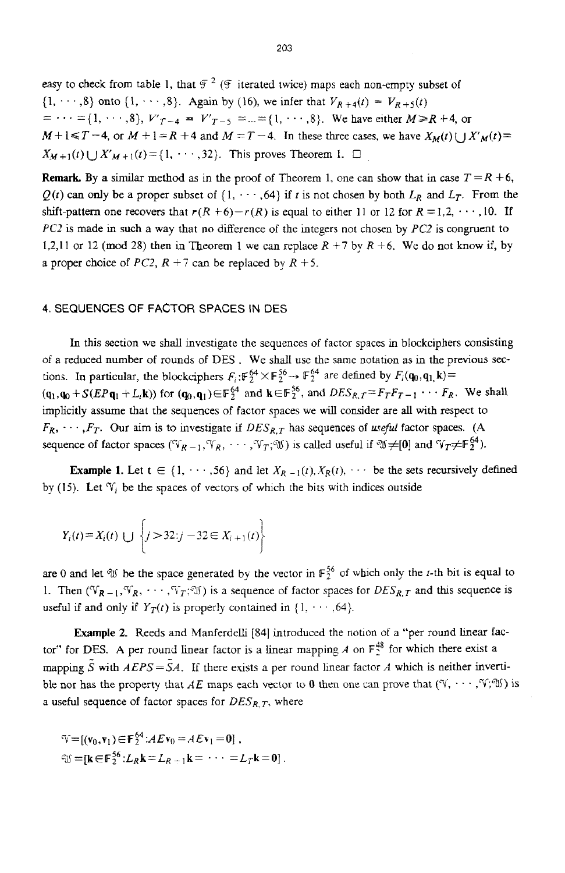easy to check from table 1, that  $\mathcal{F}^2$  ( $\mathcal{F}$  iterated twice) maps each non-empty subset of  $\{1, \dots, 8\}$  onto  $\{1, \dots, 8\}$ . Again by (16), we infer that  $V_{R+4}(t) = V_{R+5}(t)$  $M+1 \leq T-4$ , or  $M+1=R+4$  and  $M=T-4$ . In these three cases, we have  $X_M(t) \cup X_M(t)=$  $X_{M+1}(t) \cup X'_{M+1}(t) = \{1, \dots, 32\}$ . This proves Theorem 1.  $\Box$  $= \cdots = \{1, \dots, 8\}, V'_{T-4} = V'_{T-5} = ... = \{1, \dots, 8\}.$  We have either  $M \ge R + 4$ , or

**Remark.** By a similar method as in the proof of Theorem 1, one can show that in case  $T = R + 6$ ,  $Q(t)$  can only be a proper subset of  $\{1, \dots, 64\}$  if *t* is not chosen by both  $L_R$  and  $L_T$ . From the shift-pattern one recovers that  $r(R + 6) - r(R)$  is equal to either 11 or 12 for  $R = 1, 2, \dots, 10$ . If *PC2* is made in such a way that no difference of thc integers not chosen by *PC2* is congruent to **1,2,11 or 12 (mod 28) then in Theorem 1 we can replace**  $R + 7$  **by**  $R + 6$ **. We do not know if, by** a proper choice of *PC2*,  $R + 7$  can be replaced by  $R + 5$ .

## **4.** SEQUENCES **OF** FACTOR SPACES IN DES

In this section we shall investigate the sequences of factor spaces in blockciphers consisting of a reduced number of rounds of DES . We shall use the same notation **as** in the previous **sec**tions. In particular, the blockciphers  $F_i$ : $\mathbb{F}_2^{64} \times \mathbb{F}_2^{56} \rightarrow \mathbb{F}_2^{64}$  are defined by  $F_i(\mathbf{q}_0, \mathbf{q}_1, \mathbf{k}) =$  $(q_1, q_0 + S(EPq_1 + L_i k))$  for  $(q_0, q_1) \in F_2^{64}$  and  $k \in F_2^{56}$ , and  $DES_{R,T} = F_T F_{T-1} \cdots F_R$ . We shall implicitly assume that the sequences of factor spaces we wiU consider are all with respect to  $F_R$ ,  $\cdots$ ,  $F_T$ . Our aim is to investigate if  $DES_{R,T}$  has sequences of *useful* factor spaces. **(A** sequence of factor spaces ( $\mathbb{V}_{R-1}$ ,  $\mathbb{V}_R$ ,  $\cdots$ ,  $\mathbb{V}_T$ ;  $\mathbb{V}$ ) is called useful if  $\mathbb{U}\neq [0]$  and  $\mathbb{V}_T\neq \mathbb{F}_2^{64}$ ).

**Example 1.** Let  $t \in \{1, \dots, 56\}$  and let  $X_{R-1}(t), X_{R}(t), \dots$  be the sets recursively defined by (15). Let  $\mathcal{V}_i$  be the spaces of vectors of which the bits with indices outside

$$
Y_i(t) = X_i(t) \cup \left\{ j > 32 : j - 32 \in X_{i+1}(t) \right\}
$$

are 0 and let  $\mathcal{W}$  be the space generated by the vector in  $\mathbb{F}_2^{56}$  of which only the *t*-th bit is equal to 1. Then  $(\mathbb{V}_{R-1}, \mathbb{V}_R, \cdots, \mathbb{V}_T; \mathbb{U})$  is a sequence of factor spaces for  $DES_{R,T}$  and this sequence is useful if and only if  $Y_T(t)$  is properly contained in  $\{1, \dots, 64\}$ .

**Example 2.** Reeds and Manferdelli [84] introduced the notion of a "per round linear factor" for DES. A per round linear factor is a linear mapping  $A$  on  $F_2^{48}$  for which there exist a mapping  $\tilde{S}$  with  $AEPS = SA$ . If there exists a per round linear factor A which is neither invertible nor has the property that *AE* maps each vector to 0 then one can prove that  $(\mathcal{V}, \cdots, \mathcal{V}, \mathcal{W})$  is a useful sequence of factor spaces for  $DES_{R,T}$ , where

$$
\mathbb{V} = [(\mathbf{v}_0, \mathbf{v}_1) \in \mathbb{F}_2^{64} : A E \mathbf{v}_0 = A E \mathbf{v}_1 = \mathbf{0}],
$$
  
\n
$$
\mathbb{U} = [\mathbf{k} \in \mathbb{F}_2^{56} : L_R \mathbf{k} = L_{R+1} \mathbf{k} = \cdots = L_T \mathbf{k} = \mathbf{0}]
$$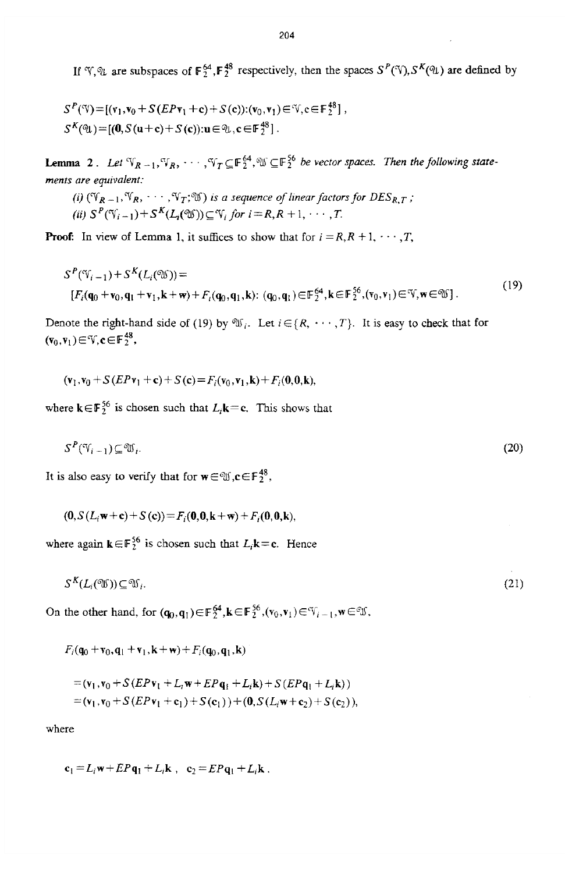If  $\mathcal{F}, \mathcal{F}$  are subspaces of  $\mathbf{F}_2^{64}$ ,  $\mathbf{F}_2^{48}$  respectively, then the spaces  $S^P(\mathcal{F}), S^K(\mathcal{F})$  are defined by

$$
S^{P}(\mathcal{V}) = [(v_1, v_0 + S(EPr_1 + c) + S(c)) : (v_0, v_1) \in \mathcal{V}, c \in F_2^{48}],
$$
  
\n
$$
S^{K}(\mathcal{V}) = [(0, S(u+c) + S(c)) : u \in \mathcal{V}, c \in F_2^{48}].
$$

**Lemma** 2. Let  ${}^cV_{R-1}, {}^cV_R, \cdots, {}^cV_T \subseteq \mathbb{F}_2^{64}, {}^c\mathbb{U} \subseteq \mathbb{F}_2^{56}$  be vector spaces. Then the following state*ments are equivalent:* 

(i) 
$$
(\mathbb{Y}_{R-1}, \mathbb{Y}_R, \cdots, \mathbb{Y}_T; \mathbb{Y})
$$
 is a sequence of linear factors for  $DES_{R,T}$ ;  
(ii)  $S^P(\mathbb{Y}_{i-1})+S^K(L_I(\mathbb{Y})) \subseteq \mathbb{Y}_i$  for  $i=R, R+1, \cdots, T$ .

**Proof:** In view of Lemma 1, it suffices to show that for  $i = R, R + 1, \dots, T$ ,

$$
S^{P}(\mathfrak{V}_{i-1}) + S^{K}(L_{i}(\mathfrak{W})) =
$$
  
[ $F_{i}(\mathbf{q}_{0} + \mathbf{v}_{0}, \mathbf{q}_{1} + \mathbf{v}_{1}, \mathbf{k} + \mathbf{w}) + F_{i}(\mathbf{q}_{0}, \mathbf{q}_{1}, \mathbf{k}) : (\mathbf{q}_{0}, \mathbf{q}_{1}) \in \mathbb{F}_{2}^{64}, \mathbf{k} \in \mathbb{F}_{2}^{56}, (\mathbf{v}_{0}, \mathbf{v}_{1}) \in \mathbb{V}, \mathbf{w} \in \mathbb{W}].$  (19)

Denote the right-hand side of (19) by  $\mathfrak{V}_i$ . Let  $i \in \{R, \dots, T\}$ . It is easy to check that for  $(\mathbf{v}_0, \mathbf{v}_1) \in \mathbb{V}, \mathbf{c} \in \mathbb{F}_2^{48},$ 

$$
(\mathbf{v}_1, \mathbf{v}_0 + S(E P \mathbf{v}_1 + \mathbf{c}) + S(\mathbf{c}) = F_i(\mathbf{v}_0, \mathbf{v}_1, \mathbf{k}) + F_i(\mathbf{0}, \mathbf{0}, \mathbf{k}),
$$

where  $\mathbf{k} \in \mathbb{F}_2^{56}$  is chosen such that  $L_i \mathbf{k} = \mathbf{c}$ . This shows that

$$
S^P(\mathbb{V}_{i-1}) \subseteq \mathbb{W}_i. \tag{20}
$$

It is also easy to verify that for  $\mathbf{w} \in \mathcal{M}, \mathbf{c} \in \mathbb{F}_2^{48}$ ,

$$
(0, S(L_i w + c) + S(c)) = F_i(0, 0, k + w) + F_i(0, 0, k),
$$

where again  $\mathbf{k} \in \mathbb{F}_2^{56}$  is chosen such that  $L_i \mathbf{k} = \mathbf{c}$ . Hence

$$
S^K(L_i(\mathfrak{V})) \subseteq \mathfrak{V}_i. \tag{21}
$$

On the other hand, for  $(\mathbf{q}_0, \mathbf{q}_1) \in \mathbb{F}_2^{64}$ ,  $\mathbf{k} \in \mathbb{F}_2^{56}$ ,  $(v_0, v_1) \in V_{i-1}$ ,  $\mathbf{w} \in \mathcal{X}$ ,

$$
F_i(\mathbf{q}_0 + \mathbf{v}_0, \mathbf{q}_1 + \mathbf{v}_1, \mathbf{k} + \mathbf{w}) + F_i(\mathbf{q}_0, \mathbf{q}_1, \mathbf{k})
$$
  
=  $(\mathbf{v}_1, \mathbf{v}_0 + S(EP\mathbf{v}_1 + L_t\mathbf{w} + EP\mathbf{q}_1 + L_t\mathbf{k}) + S(EP\mathbf{q}_1 + L_t\mathbf{k}))$   
=  $(\mathbf{v}_1, \mathbf{v}_0 + S(EP\mathbf{v}_1 + \mathbf{c}_1) + S(\mathbf{c}_1)) + (\mathbf{0}, S(L_t\mathbf{w} + \mathbf{c}_2) + S(\mathbf{c}_2)),$ 

where

$$
\mathbf{c}_1 = L_i \mathbf{w} + EP\mathbf{q}_1 + L_i \mathbf{k} \ , \ \ \mathbf{c}_2 = EP\mathbf{q}_1 + L_i \mathbf{k} \ .
$$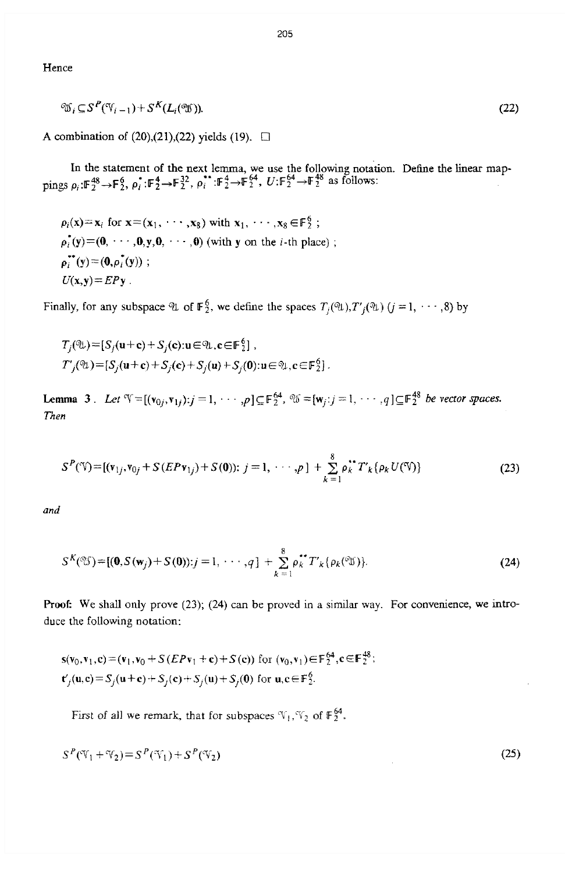**Hence** 

$$
\mathcal{X}_i \subseteq S^P(\mathcal{Y}_{i-1}) + S^K(L_i(\mathcal{Y})). \tag{22}
$$

**<sup>A</sup>**combination of **(20),(21),(22)** yields (19). *0* 

In the statement of the next lemma, we use the following notation. Define the linear map**pings**  $\rho_i:$ **F** $_2^{48} \rightarrow$ **F** $_2^{6}$ ,  $\rho_i^*$ ;**F** $_2^{4} \rightarrow$ **F** $_2^{32}$ ,  $\rho_i^{**}$ ;**F** $_2^{4} \rightarrow$ **F** $_2^{46}$ , *U*:**F** $_2^{64} \rightarrow$ **F** $_2^{48}$  as follows:

 $p_i(\mathbf{x}) = \mathbf{x}_i$  for  $\mathbf{x} = (\mathbf{x}_1, \dots, \mathbf{x}_8)$  with  $\mathbf{x}_1, \dots, \mathbf{x}_8 \in \mathbb{F}_2^6$ ;  $p_i^*(y)=(0, \dots, 0, y, 0, \dots, 0)$  (with y on the *i*-th place);  $p_i^*(y) = (0, p_i^*(y))$ ;  $U(x,y) = EPy$ .

Finally, for any subspace  $\mathcal{U}$  of  $\mathbb{F}_2^6$ , we define the spaces  $T_i(\mathcal{U}), T_i(\mathcal{U})$   $(j = 1, \dots, 8)$  by

$$
T_j(\mathfrak{A}) = [S_j(\mathbf{u}+\mathbf{c}) + S_j(\mathbf{c}): \mathbf{u} \in \mathfrak{A}, \mathbf{c} \in \mathbb{F}_2^6],
$$
  
\n
$$
T'_j(\mathfrak{A}) = [S_j(\mathbf{u}+\mathbf{c}) + S_j(\mathbf{c}) + S_j(\mathbf{u}) + S_j(\mathbf{0}): \mathbf{u} \in \mathfrak{A}, \mathbf{c} \in \mathbb{F}_2^6].
$$

**Lemma 3**. Let  $\mathbb{V} = [(\mathbf{v}_{0i}, \mathbf{v}_{1i}) : j = 1, \cdots, p] \subseteq \mathbb{F}_2^{64}$ ,  $\mathbb{V} = [\mathbf{w}_i : j = 1, \cdots, q] \subseteq \mathbb{F}_2^{48}$  be vector spaces. Then

$$
S^{P}(\mathcal{V}) = [(v_{1j}, v_{0j} + S(EPv_{1j}) + S(0)); j = 1, \cdots, p] + \sum_{k=1}^{8} \rho_k^{**} T'_{k} {\rho_k U(\mathcal{V})}
$$
(23)

*and* 

$$
S^{K}(\mathfrak{Y}) = [(0, S(\mathbf{w}_{j}) + S(0)) : j = 1, \cdots, q] + \sum_{k=1}^{8} \rho_{k}^{*} T'_{k} \{ \rho_{k}(\mathfrak{Y}) \}.
$$
 (24)

Proof: We shall only prove (23); (24) can be proved in a similar way. For convenience, we introduce the following notation:

$$
s(v_0, v_1, c) = (v_1, v_0 + S(EPv_1 + c) + S(c)) \text{ for } (v_0, v_1) \in \mathbb{F}_2^{64}, c \in \mathbb{F}_2^{48};
$$
  

$$
t'_1(u, c) = S'_1(u + c) + S_1(c) + S_1(u) + S_1(0) \text{ for } u, c \in \mathbb{F}_2^6.
$$

First of all we remark, that for subspaces  $\mathcal{F}_1, \mathcal{F}_2$  of  $\mathbb{F}_2^{64}$ .

$$
S^{P}(\mathcal{V}_1 + \mathcal{V}_2) = S^{P}(\mathcal{V}_1) + S^{P}(\mathcal{V}_2)
$$
\n
$$
(25)
$$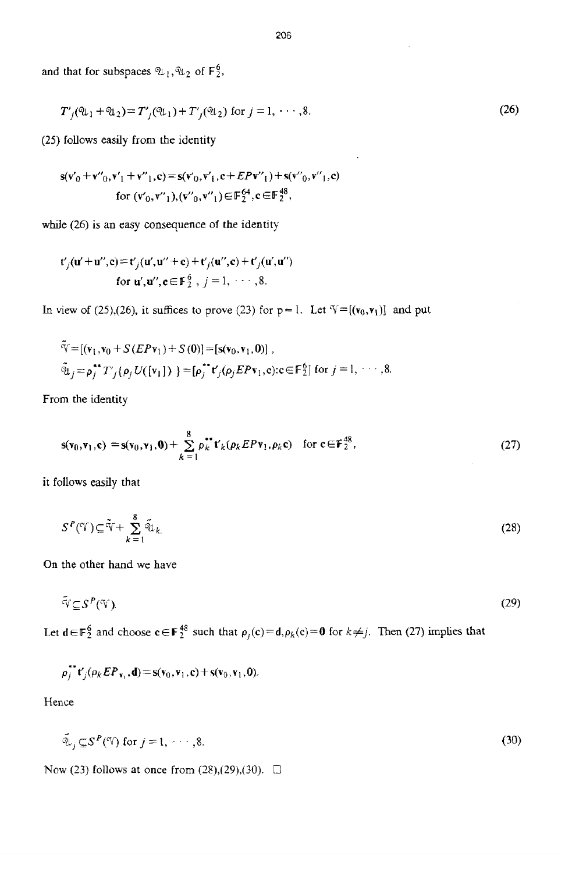and that for subspaces  $\mathfrak{A}_1, \mathfrak{A}_2$  of  $\mathbb{F}_2^6$ ,

$$
T'_{j}(\mathfrak{A}_{1} + \mathfrak{A}_{2}) = T'_{j}(\mathfrak{A}_{1}) + T'_{j}(\mathfrak{A}_{2}) \text{ for } j = 1, \cdots, 8.
$$
 (26)

*(25)* follows easily **from the** identity

$$
s(v'_0 + v'_{0}, v'_1 + v''_{1}, c) = s(v'_{0}, v'_{1}, c + EPv'_{1}) + s(v''_{0}, v''_{1}, c)
$$
  
for  $(v'_{0}, v'_{1}), (v''_{0}, v''_{1}) \in F_2^{64}, c \in F_2^{48}$ ,

while *(26)* **is** an easy consequence of **the** identity

$$
\mathbf{t}'_j(\mathbf{u}'+\mathbf{u}'',\mathbf{c}) = \mathbf{t}'_j(\mathbf{u}',\mathbf{u}''+\mathbf{c}) + \mathbf{t}'_j(\mathbf{u}'',\mathbf{c}) + \mathbf{t}'_j(\mathbf{u}',\mathbf{u}'')
$$
  
for  $\mathbf{u}',\mathbf{u}'',\mathbf{c} \in \mathbb{F}_2^6$ ,  $j = 1, \dots, 8$ .

In view of (25),(26), it suffices to prove (23) for  $p=1$ . Let  $\mathcal{V}=[(v_0,v_1)]$  and put

$$
\tilde{\mathbf{v}} = [(\mathbf{v}_1, \mathbf{v}_0 + S(E P \mathbf{v}_1) + S(0)] = [\mathbf{s}(\mathbf{v}_0, \mathbf{v}_1, 0)], \n\tilde{\mathbf{u}}_j = \rho_j^{**} T'_{j} {\rho_j U([\mathbf{v}_1]) } = [\rho_j^{**} \mathbf{t}'_{j} (\rho_j E P \mathbf{v}_1, \mathbf{c}) : \mathbf{c} \in \mathbb{F}_2^6] \text{ for } j = 1, \cdots, 8.
$$

From the identity

$$
\mathbf{s}(\mathbf{v}_0,\mathbf{v}_1,\mathbf{c}) = \mathbf{s}(\mathbf{v}_0,\mathbf{v}_1,\mathbf{0}) + \sum_{k=1}^{8} \rho_k^{**} \mathbf{t}'_k(\rho_k E P \mathbf{v}_1,\rho_k \mathbf{c}) \quad \text{for } \mathbf{c} \in \mathbb{F}_2^{48},\tag{27}
$$

it follows easily that

$$
S^{P}(\mathcal{V}) \subseteq \tilde{\mathcal{V}} + \sum_{k=1}^{8} \tilde{\mathcal{V}}_{k} \tag{28}
$$

On the other hand **we** have

$$
\tilde{\mathbf{v}} \subseteq \mathbf{S}^P(\mathbf{v}).\tag{29}
$$

Let  $d \in \mathbb{F}_2^6$  and choose  $c \in \mathbb{F}_2^{48}$  such that  $\rho_i(c) = d$ ,  $\rho_k(c) = 0$  for  $k \neq j$ . Then (27) implies that

$$
\rho_j^{**}t'_j(\rho_k E P_{\mathbf{v}_1}, \mathbf{d}) = \mathbf{s}(\mathbf{v}_0, \mathbf{v}_1, \mathbf{c}) + \mathbf{s}(\mathbf{v}_0, \mathbf{v}_1, \mathbf{0}).
$$

Hence

$$
\tilde{\psi}_j \subseteq S^P(\mathcal{V}) \text{ for } j = 1, \dots, 8. \tag{30}
$$

Now (23) follows at once from (28),(29),(30). **□**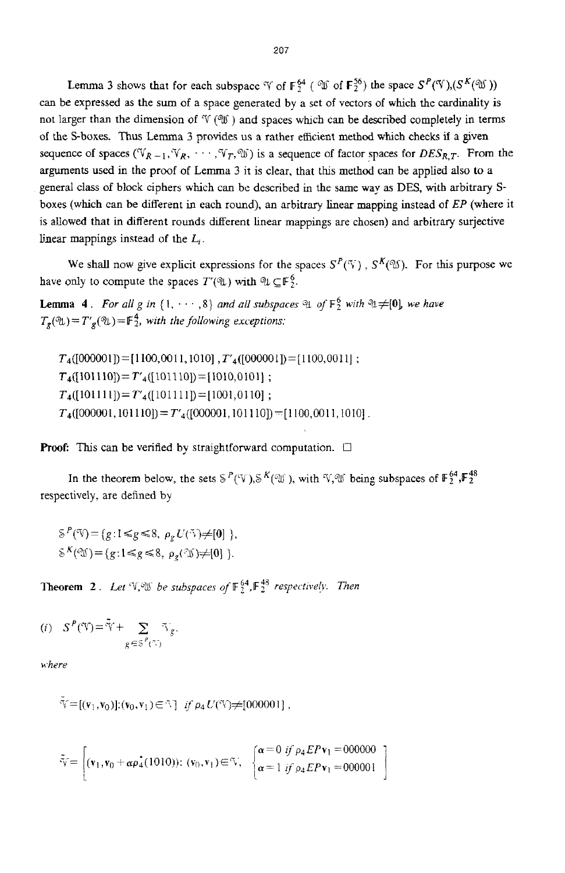Lemma 3 shows that for each subspace  $\mathcal V$  of  $\mathbb{F}_7^{64}$  (  $\mathcal V$  of  $\mathbb{F}_7^{56}$ ) the space  $S^P(\mathcal V),(S^K(\mathcal V))$ can be expressed as the sum of a space generated by **a** set of vectors of which the cardinality is not larger than the dimension of  $\mathcal{V}(\mathcal{W})$  and spaces which can be described completely in terms of the S-boxes. Thus Lemma 3 provides us a rather efficient method which checks if a given sequence of spaces ( $V_{R-1}$ ,  $V_R$ , ...,  $V_T$ ,  $W$ ) is a sequence of factor spaces for *DES<sub>R,T</sub>*. From the arguments used in the proof of Lemma 3 it **is** clear, that this method *can* be applied also to a general class of block ciphers which can be described in the same way **as** DFS, with arbitrary Sboxes (which can be diflerent in each round), an arbitrary linear mapping instead of EP **(where** it is allowed that in different rounds different linear mappings are chosen) and arbitrary surjective linear mappings instead of **the** *L,* .

We shall now give explicit expressions for the spaces  $S^P(\mathcal{V})$ ,  $S^K(\mathcal{W})$ . For this purpose we have only to compute the spaces  $T'(\mathfrak{A})$  with  $\mathfrak{A} \subset \mathbb{F}_2^6$ .

**Lemma 4.** For all g in  $\{1, \dots, 8\}$  and all subspaces  $\mathcal{A}$  of  $\mathbb{F}_2^6$  with  $\mathcal{A} \neq [0]$ , we have  $T_g(\mathfrak{A}) = T'_g(\mathfrak{A}) = \mathbb{F}_2^4$ , with the following exceptions:

 $T_4([000001])$  = [1100,0011,1010], $T'_4([000001])$  = [1100,0011];  $T_4([101110]) = T'_4([101110]) = [1010, 0101]$ ;  $T_4([101111]) = T'_4([101111]) = [1001, 0110]$ ;  $T_4([000001, 101110]) = T'_4([000001, 101110]) = [1100, 0011, 1010].$ 

**Proof:** This can **be** verified by straightforward computation. *0* 

In the theorem below, the sets  $S^P(\mathcal{V}), S^K(\mathcal{W})$ , with  $\mathcal{V}, \mathcal{W}$  being subspaces of  $\mathbb{F}_2^{64}$ ,  $\mathbb{F}_2^{48}$ respectively, are defined by

 $\mathcal{S}^P(\mathcal{S}) = \{g : 1 \leq g \leq 8, \ \rho_g U(\mathcal{S}) \neq [0] \ \},\$  $\delta^K(\mathfrak{V}) = \{g: 1 \le g \le 8, \rho_g(\mathfrak{V}) \neq [0] \}.$ 

**Theorem 2**. Let  $V$ ,  $W$  *be subspaces of*  $\mathbb{F}_2^{64}$ ,  $\mathbb{F}_2^{48}$  *respectively. Then* 

$$
(i) \quad S^P(\mathfrak{V}) = \tilde{\mathfrak{V}} + \sum_{g \in \mathfrak{S}^P(\mathfrak{V})} \tilde{\mathfrak{V}}_g,
$$

*where* 

$$
\tilde{\mathbb{V}} = [(\mathbf{v}_1, \mathbf{v}_0)] : (\mathbf{v}_0, \mathbf{v}_1) \in \tilde{\mathbb{V}}] \quad \text{if } \rho_4 U(\tilde{\mathbb{V}}) \neq [000001],
$$

$$
\tilde{\mathbf{v}} = \begin{bmatrix} (\mathbf{v}_1, \mathbf{v}_0 + \alpha \rho_a(1010)) \colon (\mathbf{v}_0, \mathbf{v}_1) \in \mathbb{V}, & \begin{cases} \alpha = 0 & \text{if } \rho_4 E P \mathbf{v}_1 = 000000 \\ \alpha = 1 & \text{if } \rho_4 E P \mathbf{v}_1 = 000001 \end{cases} \end{bmatrix}
$$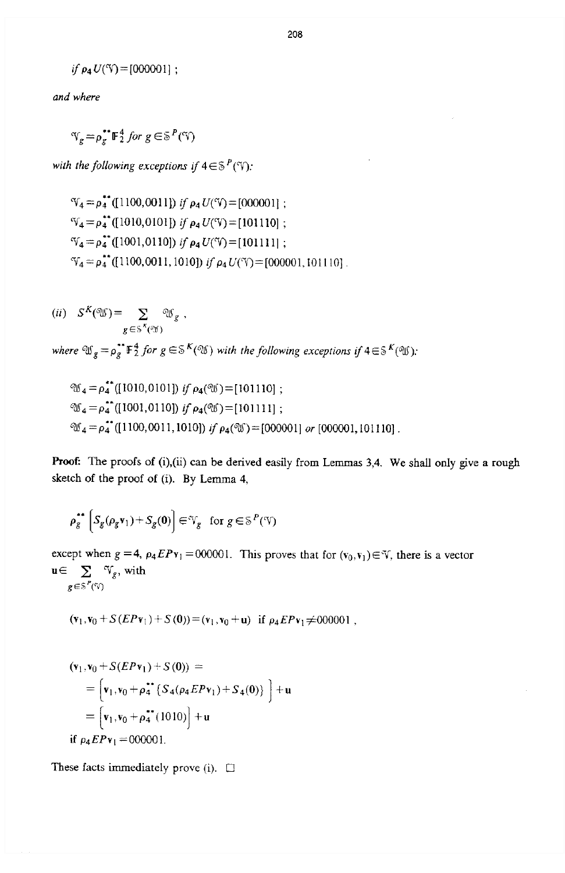if 
$$
\rho_4 U(\text{V}) = [000001]
$$
 ;

*and where* 

 $\mathcal{N}_g = \rho_g^{**} \mathbb{F}_2^4$  for  $g \in \mathbb{S}^P(\mathcal{N})$ 

*with the following exceptions if*  $4 \in S^P(\mathcal{V})$ *:* 

$$
\mathcal{V}_4 = \rho_4^*
$$
(1100,0011]) if  $\rho_4 U(\mathcal{V}) = [000001]$ ;  
\n
$$
\mathcal{V}_4 = \rho_4^*
$$
(1010,0101]) if  $\rho_4 U(\mathcal{V}) = [101110]$ ;  
\n
$$
\mathcal{V}_4 = \rho_4^*
$$
(1001,0110]) if  $\rho_4 U(\mathcal{V}) = [101111]$ ;  
\n
$$
\mathcal{V}_4 = \rho_4^*
$$
(1100,0011,1010]) if  $\rho_4 U(\mathcal{V}) = [000001, 101110]$ 

$$
(ii) \quad S^K(\mathfrak{V}) = \sum_{g \in S^K(\mathfrak{S})} \mathfrak{V}_g ,
$$

where  $\mathfrak{W}_g = \rho_g^{**} \mathbb{F}_2^4$  *for*  $g \in \mathcal{S}^K(\mathfrak{W})$  with the following exceptions if  $4 \in \mathcal{S}^K(\mathfrak{W})$ .

$$
\mathcal{W}_4 = \rho_4^*(1010, 0101) \text{ if } \rho_4(\mathcal{W}) = [101110];
$$
  

$$
\mathcal{W}_4 = \rho_4^*(1001, 0110) \text{ if } \rho_4(\mathcal{W}) = [101111];
$$
  

$$
\mathcal{W}_4 = \rho_4^*(1100, 0011, 1010) \text{ if } \rho_4(\mathcal{W}) = [000001] \text{ or } [000001, 101110]
$$

**Proof:** The proofs of **(i),(ii)** can be derived easily from Lemmas **3,4.** We shall only give a **rough**  sketch of the **proof** of (i). **By** Lemma **4,** 

$$
\rho_g^{\bullet\bullet}\left[S_g(\rho_g \mathbf{v}_1) + S_g(\mathbf{0})\right] \in \mathcal{V}_g \quad \text{for } g \in \mathbb{S}^P(\mathcal{V})
$$

except when  $g = 4$ ,  $\rho_4 E P v_1 = 000001$ . This proves that for  $(v_0, v_1) \in V$ , there is a vector  $\mathbf{u} \!\in\! \sum\limits_{g \,\in\, \mathbb{S}^P(\mathbb{V})}\!\!\mathbb{V}_g,$  with

$$
(\mathbf{v}_1, \mathbf{v}_0 + S(EP\mathbf{v}_1) + S(0)) = (\mathbf{v}_1, \mathbf{v}_0 + \mathbf{u})
$$
 if  $\rho_4 EP\mathbf{v}_1 \neq 000001$ ,

$$
(\mathbf{v}_1, \mathbf{v}_0 + S(EP\mathbf{v}_1) + S(0)) =
$$
  
= 
$$
[\mathbf{v}_1, \mathbf{v}_0 + \rho_4^* \{ S_4(\rho_4 EP\mathbf{v}_1) + S_4(0) \} ] + \mathbf{u}
$$
  
= 
$$
[\mathbf{v}_1, \mathbf{v}_0 + \rho_4^* (1010)] + \mathbf{u}
$$
  
if  $\rho_4 EP\mathbf{v}_1 = 000001$ .

These facts immediately **prove** (i). *0*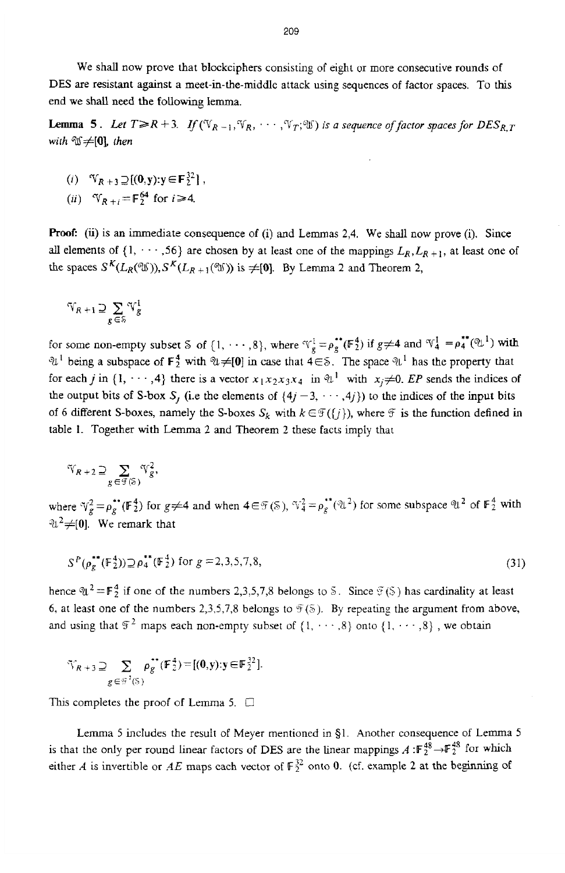We shall now prove that blockciphers consisting of eight or more consecutive rounds of DES are resistant against a meet-in-the-middle attack using sequences of factor spaces. To this end we shall need the following lemma.

**Lemma 5.** Let  $T \ge R + 3$ . If  $(\mathbb{V}_{R-1}, \mathbb{V}_R, \cdots, \mathbb{V}_T; \mathbb{V})$  is a sequence of factor spaces for  $DES_{R,T}$ *with*  $\mathcal{X} \neq [0]$  *then* 

(i)  $\mathbb{V}_{R+3} \supseteq \{(\mathbf{0}, \mathbf{y}); \mathbf{y} \in \mathbf{F}_2^{32}\}\,$ 

$$
(ii) \quad \mathcal{V}_{R+i} = \mathbb{F}_2^{64} \text{ for } i \ge 4.
$$

Proof: **(ii)** is **an** immediate consequence of (i) and Lemmas **2,4.** We shall now prove (i). **Since**  all elements of  $\{1, \dots, 56\}$  are chosen by at least one of the mappings  $L_R, L_{R+1}$ , at least one of the spaces  $S^{K}(L_{R}(\mathfrak{W})), S^{K}(L_{R+1}(\mathfrak{W}))$  is  $\neq$  [0]. By Lemma 2 and Theorem 2,

$$
\mathbb{V}_{R+1} \supseteq \sum_{g \in \mathbb{S}} \mathbb{V}_g^1
$$

for some non-empty subset *5* of  $\{1, \dots, 8\}$ , where  $\forall \frac{1}{8} = \rho_3^{**}(\mathbb{F}_2^4)$  if  $g \neq 4$  and  $\forall \frac{1}{4} = \rho_4^{**}(\mathbb{Q}^4)$  with  $\mathcal{U}^1$  being a subspace of  $\mathbf{F}_2^4$  with  $\mathcal{U} \neq [0]$  in case that  $4 \in \mathcal{S}$ . The space  $\mathcal{U}^1$  has the property that for each *j* in {1, ...,4} there is a vector  $x_1x_2x_3x_4$  in  $\mathcal{U}^1$  with  $x_i \neq 0$ . EP sends the indices of the output bits of S-box  $S_j$  (i.e the elements of  $\{4j-3, \dots, 4j\}$ ) to the indices of the input bits of 6 different S-boxes, namely the S-boxes  $S_k$  with  $k \in \mathcal{F}(\{j\})$ , where  $\mathcal{F}$  is the function defined in table **1.** Together with Lemma *2* and Theorem *2* these facts imply that

$$
\mathcal{\widetilde{V}}_{R+2}\supseteq \sum_{g\in\mathcal{F}(\mathbb{S})}\mathcal{V}_{g}^{2},
$$

where  $\mathcal{V}_g^2 = \rho_g^{**}(\mathbb{F}_2^4)$  for  $g \neq 4$  and when  $4 \in \mathcal{F}(\mathcal{S})$ ,  $\mathcal{V}_4^2 = \rho_g^{**}(\mathcal{U}^2)$  for some subspace  $\mathcal{U}^2$  of  $\mathbb{F}_2^4$  with  $\mathfrak{A}^2 \neq [0]$ . We remark that

$$
S^{P}(\rho_{g}^{\bullet\bullet}(\mathbb{F}_{2}^{4})) \supseteq \rho_{4}^{\bullet\bullet}(\mathbb{F}_{2}^{4}) \text{ for } g=2,3,5,7,8,
$$
\n(31)

hence  $\mathfrak{A}^2 = \mathbb{F}_2^4$  if one of the numbers 2,3,5,7,8 belongs to S. Since  $\mathfrak{F}(S)$  has cardinality at least 6, at least one of the numbers 2,3,5,7,8 belongs to  $\mathcal{F}(\mathbb{S})$ . By repeating the argument from above, and using that  $\mathcal{F}^2$  maps each non-empty subset of  $\{1, \dots, 8\}$  onto  $\{1, \dots, 8\}$ , we obtain

$$
\mathcal{F}_{R+3} \supseteq \sum_{g \in \mathcal{G}^2(S)} \rho_g^{**}(\mathbb{F}_2^4) = [(0,y): y \in \mathbb{F}_2^{32}].
$$

This completes the proof of Lemma 5.  $\Box$ 

Lemma 5 includes the result of Meyer mentioned in 91. Another consequence of Lemma *<sup>5</sup>* is that the only per round linear factors of DES are the linear mappings  $A: \mathbb{F}_2^{48} \to \mathbb{F}_2^{48}$  for which either *A* is invertible or *AE* maps each vector of  $\mathbb{F}_2^{32}$  onto 0. (cf. example 2 at the beginning of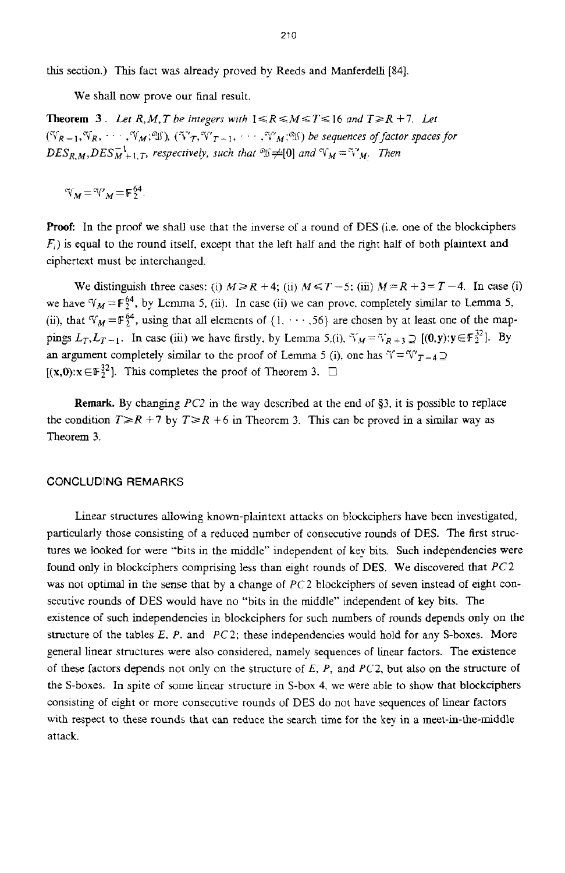**this** section.) **This** fact was already proved by Reeds and Manferdelli **[84].** 

We shall now prove our final result.

**Theorem 3.** Let R, M, T be integers with  $1 \le R \le M \le T \le 16$  and  $T \ge R + 7$ . Let  $(\mathbb{V}_{R-1}, \mathbb{V}_{R}, \cdots, \mathbb{V}_{M}, \mathbb{V})$ ,  $(\mathbb{V}_{T}, \mathbb{V}_{T-1}, \cdots, \mathbb{V}_{M}, \mathbb{V})$  be sequences of factor spaces for  $DES_{R,M}$ ,  $DES_{M+1,T}^{-1}$ , respectively, such that  $\mathcal{Y}\neq[0]$  and  $\mathcal{Y}_M=\mathcal{Y}'_M$ . Then

 $V_M = V_M = F_2^{64}$ .

**Rook** In the proof we shall use that the inverse of a round of DES (i.e. one of the blockciphers  $F_i$ ) is equal to the round itself, except that the left half and the right half of both plaintext and ciphertext must be interchanged.

We distinguish three cases: (i)  $M \ge R + 4$ ; (ii)  $M \le T - 5$ ; (iii)  $M = R + 3 = T - 4$ . In case (i) we have  $\mathcal{V}_M = \mathbb{F}_2^{64}$ , by Lemma 5, *(ii).* In case *(ii)* we can prove, completely similar to Lemma 5, (ii), that  $V_M = \mathbb{F}_2^{64}$ , using that all elements of  $\{1, \dots, 56\}$  are chosen by at least one of the mappings  $L_T, L_{T-1}$ . In case (iii) we have firstly, by Lemma 5,(i),  $\forall y = \forall x_{R+3} \supset [(0, y): y \in F_2^{32}]$ . By an argument completely similar to the proof of Lemma 5 (i), one has  $\mathcal{V} = \mathcal{V}_{T-4} \supseteq$  $[(x,0):x \in \mathbb{F}_2^{32}]$ . This completes the proof of Theorem 3.  $\Box$ 

**Remark.** By changing *PC2* in the way described at the end of §3, it is possible to replace the condition  $T \ge R + 7$  by  $T \ge R + 6$  in Theorem 3. This can be proved in a similar way as Theorem 3.

## CONCLUDING REMARKS

Linear structures allowing known-plaintext attacks on blockciphers have been investigated, particularly those consisting of a reduced number of consecutive rounds of DES. The first structures we looked for were "bits in the middle" independent of key bits. Such independencies were found only in blockciphers comprising less than eight rounds of **DES.** We discovered that *PC2*  was not optimal in the sense that by a change of *PC2* blockciphers of seven instead of eight consecutive rounds of DES would have no "bits in the middle" independent of key bits. The existence of such independencies in blockciphers for such numbers of rounds depends only on the structure of the tables E. P. and *PC2;* these independencies would hold for any S-boxes. More general linear structures were also considered, namely sequences of hear factors. The existence of these factors depends not only on the structure of *E, P,* and *PC2.* but also on the structure of the S-boxes. In spite of some linear structure in S-box 4, we were able to show that blockciphers consisting of eight or more consecutive rounds **of** DES do not have sequences of linear factors with respect to these rounds that can reduce the search time for the key in a meet-in-the-middle attack.